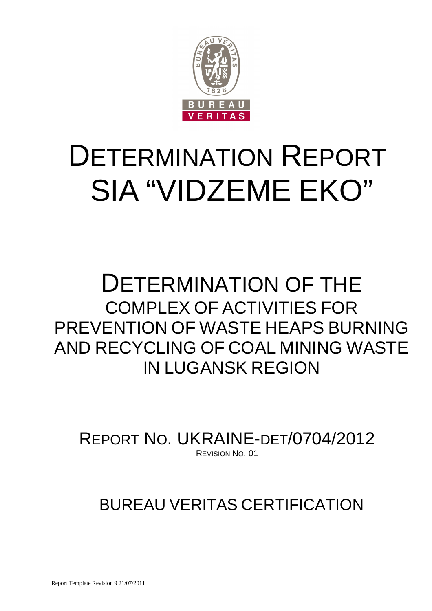

# DETERMINATION REPORT SIA "VIDZEME EKO"

## DETERMINATION OF THE COMPLEX OF ACTIVITIES FOR PREVENTION OF WASTE HEAPS BURNING AND RECYCLING OF COAL MINING WASTE IN LUGANSK REGION

REPORT NO. UKRAINE-DET/0704/2012 REVISION NO. 01

BUREAU VERITAS CERTIFICATION

Report Template Revision 9 21/07/2011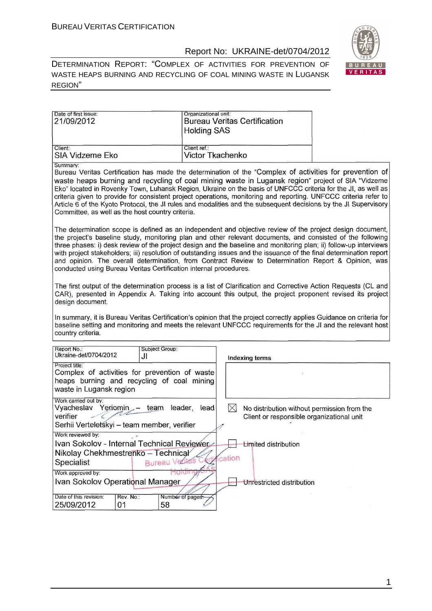

DETERMINATION REPORT: "СOMPLEX OF ACTIVITIES FOR PREVENTION OF WASTE HEAPS BURNING AND RECYCLING OF COAL MINING WASTE IN LUGANSK REGION"

| Date of first issue:<br>21/09/2012                                                                                                       | Organizational unit:<br><b>Bureau Veritas Certification</b><br><b>Holding SAS</b>                                                                                                                                                                                                                                                                                                                                                                                                                                                                                                                                                               |  |  |  |  |  |  |
|------------------------------------------------------------------------------------------------------------------------------------------|-------------------------------------------------------------------------------------------------------------------------------------------------------------------------------------------------------------------------------------------------------------------------------------------------------------------------------------------------------------------------------------------------------------------------------------------------------------------------------------------------------------------------------------------------------------------------------------------------------------------------------------------------|--|--|--|--|--|--|
| Client:<br><b>SIA Vidzeme Eko</b>                                                                                                        | Client ref.:<br><b>Victor Tkachenko</b>                                                                                                                                                                                                                                                                                                                                                                                                                                                                                                                                                                                                         |  |  |  |  |  |  |
| Summary:<br>Committee, as well as the host country criteria.                                                                             | Bureau Veritas Certification has made the determination of the "Complex of activities for prevention of<br>waste heaps burning and recycling of coal mining waste in Lugansk region" project of SIA "Vidzeme<br>Eko" located in Rovenky Town, Luhansk Region, Ukraine on the basis of UNFCCC criteria for the JI, as well as<br>criteria given to provide for consistent project operations, monitoring and reporting. UNFCCC criteria refer to<br>Article 6 of the Kyoto Protocol, the JI rules and modalities and the subsequent decisions by the JI Supervisory                                                                              |  |  |  |  |  |  |
|                                                                                                                                          | The determination scope is defined as an independent and objective review of the project design document,<br>the project's baseline study, monitoring plan and other relevant documents, and consisted of the following<br>three phases: i) desk review of the project design and the baseline and monitoring plan; ii) follow-up interviews<br>with project stakeholders; iii) resolution of outstanding issues and the issuance of the final determination report<br>and opinion. The overall determination, from Contract Review to Determination Report & Opinion, was<br>conducted using Bureau Veritas Certification internal procedures. |  |  |  |  |  |  |
| design document.                                                                                                                         | The first output of the determination process is a list of Clarification and Corrective Action Requests (CL and<br>CAR), presented in Appendix A. Taking into account this output, the project proponent revised its project                                                                                                                                                                                                                                                                                                                                                                                                                    |  |  |  |  |  |  |
| country criteria.                                                                                                                        | In summary, it is Bureau Veritas Certification's opinion that the project correctly applies Guidance on criteria for<br>baseline setting and monitoring and meets the relevant UNFCCC requirements for the JI and the relevant host                                                                                                                                                                                                                                                                                                                                                                                                             |  |  |  |  |  |  |
| Report No.:<br>Subject Group:<br>Ukraine-det/0704/2012<br>JI                                                                             | <b>Indexing terms</b>                                                                                                                                                                                                                                                                                                                                                                                                                                                                                                                                                                                                                           |  |  |  |  |  |  |
| Project title:<br>Complex of activities for prevention of waste<br>heaps burning and recycling of coal mining<br>waste in Lugansk region |                                                                                                                                                                                                                                                                                                                                                                                                                                                                                                                                                                                                                                                 |  |  |  |  |  |  |
| Work carried out by:<br>Vyacheslav<br>$Yeriomin -$<br>verifier<br>Serhii Verteletskyi - team member, verifier                            | $\bowtie$<br>team leader, lead<br>No distribution without permission from the<br>Client or responsible organizational unit                                                                                                                                                                                                                                                                                                                                                                                                                                                                                                                      |  |  |  |  |  |  |
| Work reviewed by:                                                                                                                        |                                                                                                                                                                                                                                                                                                                                                                                                                                                                                                                                                                                                                                                 |  |  |  |  |  |  |
| Ivan Sokolov - Internal Technical Reviewer<br>Nikolay Chekhmestrenko - Technical                                                         | <b>Limited distribution</b>                                                                                                                                                                                                                                                                                                                                                                                                                                                                                                                                                                                                                     |  |  |  |  |  |  |
| <b>Bureau Vedtas</b><br>Specialist                                                                                                       | ication                                                                                                                                                                                                                                                                                                                                                                                                                                                                                                                                                                                                                                         |  |  |  |  |  |  |
| Work approved by:                                                                                                                        |                                                                                                                                                                                                                                                                                                                                                                                                                                                                                                                                                                                                                                                 |  |  |  |  |  |  |
| Ivan Sokolov Operational Manager                                                                                                         | Unrestricted distribution                                                                                                                                                                                                                                                                                                                                                                                                                                                                                                                                                                                                                       |  |  |  |  |  |  |
| Date of this revision:<br>Rev. No.:<br>25/09/2012<br>58<br>01                                                                            | Number of pages.                                                                                                                                                                                                                                                                                                                                                                                                                                                                                                                                                                                                                                |  |  |  |  |  |  |

1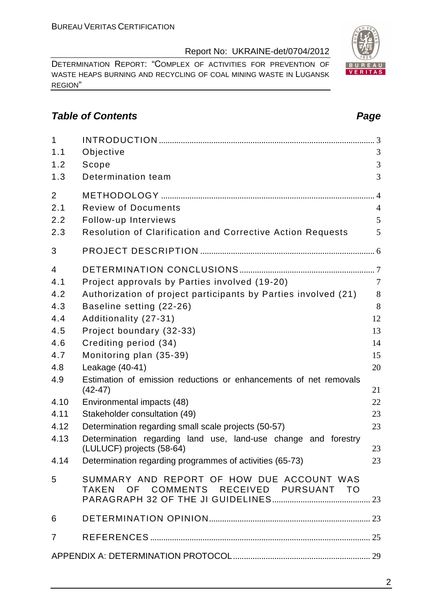DETERMINATION REPORT: "СOMPLEX OF ACTIVITIES FOR PREVENTION OF WASTE HEAPS BURNING AND RECYCLING OF COAL MINING WASTE IN LUGANSK REGION"

#### **Table of Contents Page 2014**

| $\mathbf{1}$   |                                                                                     |                |
|----------------|-------------------------------------------------------------------------------------|----------------|
| 1.1            | Objective                                                                           | 3              |
| 1.2            | Scope                                                                               | 3              |
| 1.3            | Determination team                                                                  | 3              |
| $\overline{2}$ |                                                                                     | $\overline{4}$ |
| 2.1            | <b>Review of Documents</b>                                                          | $\overline{4}$ |
| 2.2            | Follow-up Interviews                                                                | 5              |
| 2.3            | Resolution of Clarification and Corrective Action Requests                          | 5              |
| 3              |                                                                                     |                |
| $\overline{4}$ |                                                                                     |                |
| 4.1            | Project approvals by Parties involved (19-20)                                       | $\overline{7}$ |
| 4.2            | Authorization of project participants by Parties involved (21)                      | 8              |
| 4.3            | Baseline setting (22-26)                                                            | 8              |
| 4.4            | Additionality (27-31)                                                               | 12             |
| 4.5            | Project boundary (32-33)                                                            | 13             |
| 4.6            | Crediting period (34)                                                               | 14             |
| 4.7            | Monitoring plan (35-39)                                                             | 15             |
| 4.8            | Leakage (40-41)                                                                     | 20             |
| 4.9            | Estimation of emission reductions or enhancements of net removals<br>$(42-47)$      | 21             |
| 4.10           | Environmental impacts (48)                                                          | 22             |
| 4.11           | Stakeholder consultation (49)                                                       | 23             |
| 4.12           | Determination regarding small scale projects (50-57)                                | 23             |
| 4.13           | Determination regarding land use, land-use change and forestry                      |                |
|                | (LULUCF) projects (58-64)                                                           | 23             |
| 4.14           | Determination regarding programmes of activities (65-73)                            | 23             |
| 5              | SUMMARY AND REPORT OF HOW DUE ACCOUNT WAS<br>TAKEN OF COMMENTS RECEIVED PURSUANT TO |                |
| 6              |                                                                                     |                |
| $\overline{7}$ |                                                                                     |                |
|                |                                                                                     |                |

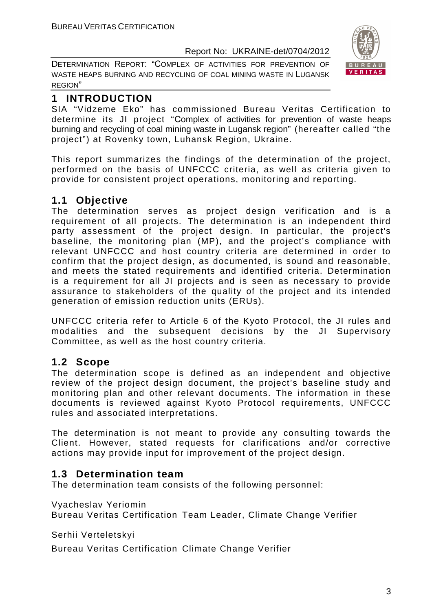DETERMINATION REPORT: "СOMPLEX OF ACTIVITIES FOR PREVENTION OF WASTE HEAPS BURNING AND RECYCLING OF COAL MINING WASTE IN LUGANSK REGION"



#### **1 INTRODUCTION**

SIA "Vidzeme Eko" has commissioned Bureau Veritas Certification to determine its JI project "Сomplex of activities for prevention of waste heaps burning and recycling of coal mining waste in Lugansk region" (hereafter called "the project") at Rovenky town, Luhansk Region, Ukraine.

This report summarizes the findings of the determination of the project, performed on the basis of UNFCCC criteria, as well as criteria given to provide for consistent project operations, monitoring and reporting.

#### **1.1 Objective**

The determination serves as project design verification and is a requirement of all projects. The determination is an independent third party assessment of the project design. In particular, the project's baseline, the monitoring plan (MP), and the project's compliance with relevant UNFCCC and host country criteria are determined in order to confirm that the project design, as documented, is sound and reasonable, and meets the stated requirements and identified criteria. Determination is a requirement for all JI projects and is seen as necessary to provide assurance to stakeholders of the quality of the project and its intended generation of emission reduction units (ERUs).

UNFCCC criteria refer to Article 6 of the Kyoto Protocol, the JI rules and modalities and the subsequent decisions by the JI Supervisory Committee, as well as the host country criteria.

#### **1.2 Scope**

The determination scope is defined as an independent and objective review of the project design document, the project's baseline study and monitoring plan and other relevant documents. The information in these documents is reviewed against Kyoto Protocol requirements, UNFCCC rules and associated interpretations.

The determination is not meant to provide any consulting towards the Client. However, stated requests for clarifications and/or corrective actions may provide input for improvement of the project design.

#### **1.3 Determination team**

The determination team consists of the following personnel:

Vyacheslav Yeriomin

Bureau Veritas Certification Team Leader, Climate Change Verifier

Serhii Verteletskyi

Bureau Veritas Certification Climate Change Verifier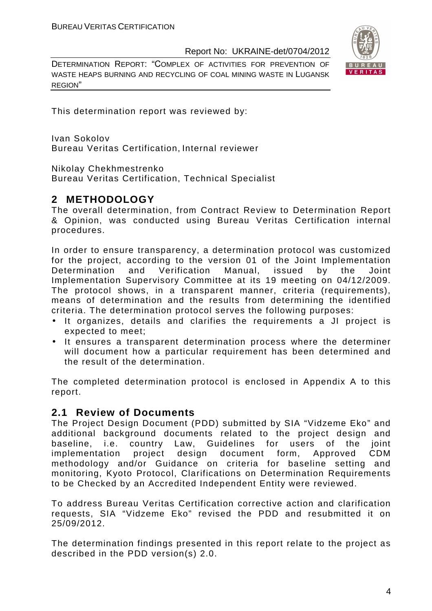DETERMINATION REPORT: "СOMPLEX OF ACTIVITIES FOR PREVENTION OF WASTE HEAPS BURNING AND RECYCLING OF COAL MINING WASTE IN LUGANSK REGION"



This determination report was reviewed by:

Ivan Sokolov Bureau Veritas Certification, Internal reviewer

Nikolay Chekhmestrenko

Bureau Veritas Certification, Technical Specialist

#### **2 METHODOLOGY**

The overall determination, from Contract Review to Determination Report & Opinion, was conducted using Bureau Veritas Certification internal procedures.

In order to ensure transparency, a determination protocol was customized for the project, according to the version 01 of the Joint Implementation Determination and Verification Manual, issued by the Joint Implementation Supervisory Committee at its 19 meeting on 04/12/2009. The protocol shows, in a transparent manner, criteria (requirements), means of determination and the results from determining the identified criteria. The determination protocol serves the following purposes:

- It organizes, details and clarifies the requirements a JI project is expected to meet;
- It ensures a transparent determination process where the determiner will document how a particular requirement has been determined and the result of the determination.

The completed determination protocol is enclosed in Appendix A to this report.

#### **2.1 Review of Documents**

The Project Design Document (PDD) submitted by SIA "Vidzeme Eko" and additional background documents related to the project design and baseline, i.e. country Law, Guidelines for users of the joint implementation project design document form, Approved CDM methodology and/or Guidance on criteria for baseline setting and monitoring, Kyoto Protocol, Clarifications on Determination Requirements to be Checked by an Accredited Independent Entity were reviewed.

To address Bureau Veritas Certification corrective action and clarification requests, SIA "Vidzeme Eko" revised the PDD and resubmitted it on 25/09/2012.

The determination findings presented in this report relate to the project as described in the PDD version(s) 2.0.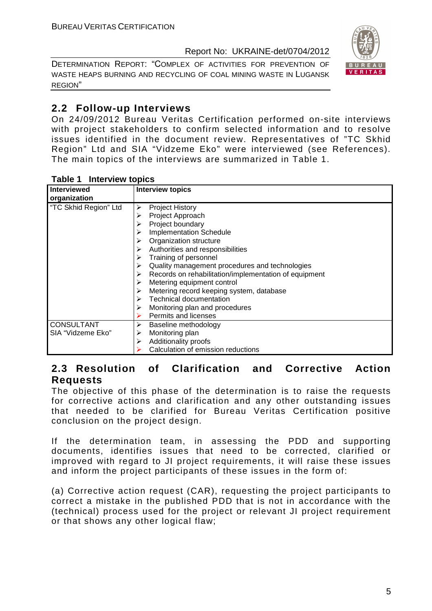DETERMINATION REPORT: "СOMPLEX OF ACTIVITIES FOR PREVENTION OF WASTE HEAPS BURNING AND RECYCLING OF COAL MINING WASTE IN LUGANSK REGION"



#### **2.2 Follow-up Interviews**

On 24/09/2012 Bureau Veritas Certification performed on-site interviews with project stakeholders to confirm selected information and to resolve issues identified in the document review. Representatives of "TC Skhid Region" Ltd and SIA "Vidzeme Eko" were interviewed (see References). The main topics of the interviews are summarized in Table 1.

| Table 1 Interview topics |  |  |  |
|--------------------------|--|--|--|
|                          |  |  |  |

| <b>Interviewed</b>    | <b>Interview topics</b>                                    |
|-----------------------|------------------------------------------------------------|
| organization          |                                                            |
| "TC Skhid Region" Ltd | <b>Project History</b><br>➤                                |
|                       | Project Approach<br>⋗                                      |
|                       | Project boundary                                           |
|                       | <b>Implementation Schedule</b>                             |
|                       | Organization structure                                     |
|                       | Authorities and responsibilities                           |
|                       | Training of personnel<br>➤                                 |
|                       | Quality management procedures and technologies<br>➤        |
|                       | Records on rehabilitation/implementation of equipment<br>➤ |
|                       | Metering equipment control                                 |
|                       | Metering record keeping system, database                   |
|                       | Technical documentation                                    |
|                       | Monitoring plan and procedures                             |
|                       | Permits and licenses                                       |
| <b>CONSULTANT</b>     | Baseline methodology<br>➤                                  |
| SIA "Vidzeme Eko"     | Monitoring plan                                            |
|                       | Additionality proofs                                       |
|                       | Calculation of emission reductions                         |

#### **2.3 Resolution of Clarification and Corrective Action Requests**

The objective of this phase of the determination is to raise the requests for corrective actions and clarification and any other outstanding issues that needed to be clarified for Bureau Veritas Certification positive conclusion on the project design.

If the determination team, in assessing the PDD and supporting documents, identifies issues that need to be corrected, clarified or improved with regard to JI project requirements, it will raise these issues and inform the project participants of these issues in the form of:

(a) Corrective action request (CAR), requesting the project participants to correct a mistake in the published PDD that is not in accordance with the (technical) process used for the project or relevant JI project requirement or that shows any other logical flaw;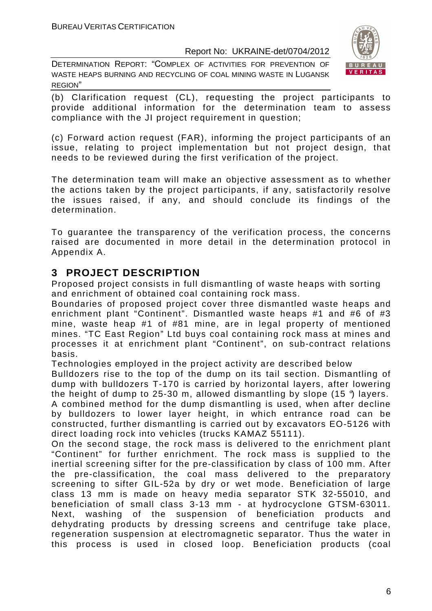DETERMINATION REPORT: "СOMPLEX OF ACTIVITIES FOR PREVENTION OF WASTE HEAPS BURNING AND RECYCLING OF COAL MINING WASTE IN LUGANSK REGION"



(b) Clarification request (CL), requesting the project participants to provide additional information for the determination team to assess compliance with the JI project requirement in question;

(c) Forward action request (FAR), informing the project participants of an issue, relating to project implementation but not project design, that needs to be reviewed during the first verification of the project.

The determination team will make an objective assessment as to whether the actions taken by the project participants, if any, satisfactorily resolve the issues raised, if any, and should conclude its findings of the determination.

To guarantee the transparency of the verification process, the concerns raised are documented in more detail in the determination protocol in Appendix A.

#### **3 PROJECT DESCRIPTION**

Proposed project consists in full dismantling of waste heaps with sorting and enrichment of obtained coal containing rock mass.

Boundaries of proposed project cover three dismantled waste heaps and enrichment plant "Continent". Dismantled waste heaps #1 and #6 of #3 mine, waste heap #1 of #81 mine, are in legal property of mentioned mines. "TC East Region" Ltd buys coal containing rock mass at mines and processes it at enrichment plant "Continent", on sub-contract relations basis.

Technologies employed in the project activity are described below

Bulldozers rise to the top of the dump on its tail section. Dismantling of dump with bulldozers T-170 is carried by horizontal layers, after lowering the height of dump to 25-30 m, allowed dismantling by slope  $(15 \text{ }^{\circ})$  layers. A combined method for the dump dismantling is used, when after decline by bulldozers to lower layer height, in which entrance road can be constructed, further dismantling is carried out by excavators EO-5126 with direct loading rock into vehicles (trucks KAMAZ 55111).

On the second stage, the rock mass is delivered to the enrichment plant "Continent" for further enrichment. The rock mass is supplied to the inertial screening sifter for the pre-classification by class of 100 mm. After the pre-classification, the coal mass delivered to the preparatory screening to sifter GIL-52a by dry or wet mode. Beneficiation of large class 13 mm is made on heavy media separator STK 32-55010, and beneficiation of small class 3-13 mm - at hydrocyclone GTSM-63011. Next, washing of the suspension of beneficiation products and dehydrating products by dressing screens and centrifuge take place, regeneration suspension at electromagnetic separator. Thus the water in this process is used in closed loop. Beneficiation products (coal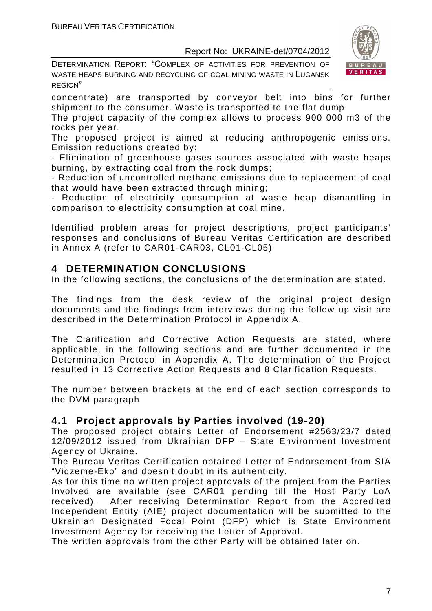DETERMINATION REPORT: "СOMPLEX OF ACTIVITIES FOR PREVENTION OF WASTE HEAPS BURNING AND RECYCLING OF COAL MINING WASTE IN LUGANSK REGION"



concentrate) are transported by conveyor belt into bins for further shipment to the consumer. Waste is transported to the flat dump

The project capacity of the complex allows to process 900 000 m3 of the rocks per year.

The proposed project is aimed at reducing anthropogenic emissions. Emission reductions created by:

- Elimination of greenhouse gases sources associated with waste heaps burning, by extracting coal from the rock dumps;

- Reduction of uncontrolled methane emissions due to replacement of coal that would have been extracted through mining;

- Reduction of electricity consumption at waste heap dismantling in comparison to electricity consumption at coal mine.

Identified problem areas for project descriptions, project participants' responses and conclusions of Bureau Veritas Certification are described in Annex A (refer to CAR01-CAR03, CL01-CL05)

#### **4 DETERMINATION CONCLUSIONS**

In the following sections, the conclusions of the determination are stated.

The findings from the desk review of the original project design documents and the findings from interviews during the follow up visit are described in the Determination Protocol in Appendix A.

The Clarification and Corrective Action Requests are stated, where applicable, in the following sections and are further documented in the Determination Protocol in Appendix A. The determination of the Project resulted in 13 Corrective Action Requests and 8 Clarification Requests.

The number between brackets at the end of each section corresponds to the DVM paragraph

#### **4.1 Project approvals by Parties involved (19-20)**

The proposed project obtains Letter of Endorsement #2563/23/7 dated 12/09/2012 issued from Ukrainian DFP – State Environment Investment Agency of Ukraine.

The Bureau Veritas Certification obtained Letter of Endorsement from SIA "Vidzeme-Eko" and doesn't doubt in its authenticity.

As for this time no written project approvals of the project from the Parties Involved are available (see CAR01 pending till the Host Party LoA received). After receiving Determination Report from the Accredited Independent Entity (AIE) project documentation will be submitted to the Ukrainian Designated Focal Point (DFP) which is State Environment Investment Agency for receiving the Letter of Approval.

The written approvals from the other Party will be obtained later on.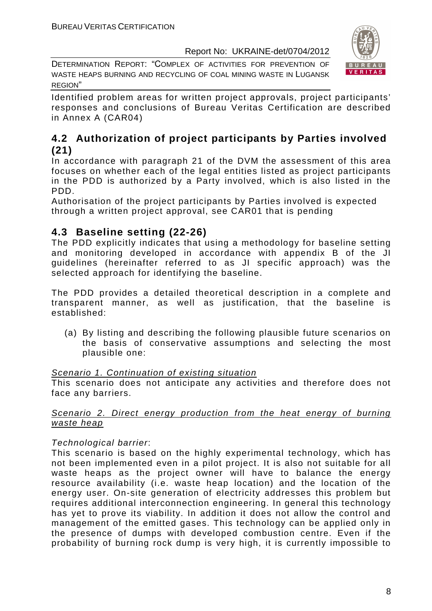DETERMINATION REPORT: "СOMPLEX OF ACTIVITIES FOR PREVENTION OF WASTE HEAPS BURNING AND RECYCLING OF COAL MINING WASTE IN LUGANSK REGION"



Identified problem areas for written project approvals, project participants' responses and conclusions of Bureau Veritas Certification are described in Annex A (CAR04)

#### **4.2 Authorization of project participants by Parties involved (21)**

In accordance with paragraph 21 of the DVM the assessment of this area focuses on whether each of the legal entities listed as project participants in the PDD is authorized by a Party involved, which is also listed in the PDD.

Authorisation of the project participants by Parties involved is expected through a written project approval, see CAR01 that is pending

#### **4.3 Baseline setting (22-26)**

The PDD explicitly indicates that using a methodology for baseline setting and monitoring developed in accordance with appendix B of the JI guidelines (hereinafter referred to as JI specific approach) was the selected approach for identifying the baseline.

The PDD provides a detailed theoretical description in a complete and transparent manner, as well as justification, that the baseline is established:

(a) By listing and describing the following plausible future scenarios on the basis of conservative assumptions and selecting the most plausible one:

#### Scenario 1. Continuation of existing situation

This scenario does not anticipate any activities and therefore does not face any barriers.

#### Scenario 2. Direct energy production from the heat energy of burning waste heap

#### Technological barrier:

This scenario is based on the highly experimental technology, which has not been implemented even in a pilot project. It is also not suitable for all waste heaps as the project owner will have to balance the energy resource availability (i.e. waste heap location) and the location of the energy user. On-site generation of electricity addresses this problem but requires additional interconnection engineering. In general this technology has yet to prove its viability. In addition it does not allow the control and management of the emitted gases. This technology can be applied only in the presence of dumps with developed combustion centre. Even if the probability of burning rock dump is very high, it is currently impossible to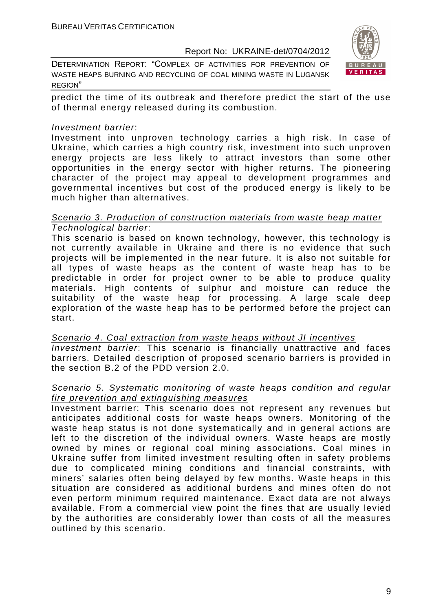DETERMINATION REPORT: "СOMPLEX OF ACTIVITIES FOR PREVENTION OF WASTE HEAPS BURNING AND RECYCLING OF COAL MINING WASTE IN LUGANSK REGION"



predict the time of its outbreak and therefore predict the start of the use of thermal energy released during its combustion.

#### Investment barrier:

Investment into unproven technology carries a high risk. In case of Ukraine, which carries a high country risk, investment into such unproven energy projects are less likely to attract investors than some other opportunities in the energy sector with higher returns. The pioneering character of the project may appeal to development programmes and governmental incentives but cost of the produced energy is likely to be much higher than alternatives.

#### Scenario 3. Production of construction materials from waste heap matter Technological barrier:

This scenario is based on known technology, however, this technology is not currently available in Ukraine and there is no evidence that such projects will be implemented in the near future. It is also not suitable for all types of waste heaps as the content of waste heap has to be predictable in order for project owner to be able to produce quality materials. High contents of sulphur and moisture can reduce the suitability of the waste heap for processing. A large scale deep exploration of the waste heap has to be performed before the project can start.

#### Scenario 4. Coal extraction from waste heaps without JI incentives Investment barrier: This scenario is financially unattractive and faces barriers. Detailed description of proposed scenario barriers is provided in the section B.2 of the PDD version 2.0.

#### Scenario 5. Systematic monitoring of waste heaps condition and regular fire prevention and extinguishing measures

Investment barrier: This scenario does not represent any revenues but anticipates additional costs for waste heaps owners. Monitoring of the waste heap status is not done systematically and in general actions are left to the discretion of the individual owners. Waste heaps are mostly owned by mines or regional coal mining associations. Coal mines in Ukraine suffer from limited investment resulting often in safety problems due to complicated mining conditions and financial constraints, with miners' salaries often being delayed by few months. Waste heaps in this situation are considered as additional burdens and mines often do not even perform minimum required maintenance. Exact data are not always available. From a commercial view point the fines that are usually levied by the authorities are considerably lower than costs of all the measures outlined by this scenario.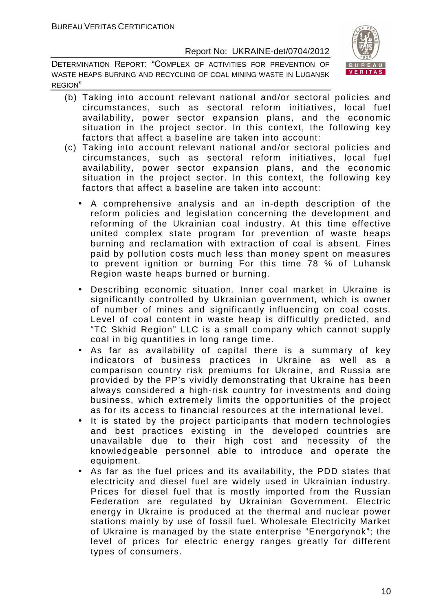

- (b) Taking into account relevant national and/or sectoral policies and circumstances, such as sectoral reform initiatives, local fuel availability, power sector expansion plans, and the economic situation in the project sector. In this context, the following key factors that affect a baseline are taken into account:
- (c) Taking into account relevant national and/or sectoral policies and circumstances, such as sectoral reform initiatives, local fuel availability, power sector expansion plans, and the economic situation in the project sector. In this context, the following key factors that affect a baseline are taken into account:
	- A comprehensive analysis and an in-depth description of the reform policies and legislation concerning the development and reforming of the Ukrainian coal industry. At this time effective united complex state program for prevention of waste heaps burning and reclamation with extraction of coal is absent. Fines paid by pollution costs much less than money spent on measures to prevent ignition or burning For this time 78 % of Luhansk Region waste heaps burned or burning.
	- Describing economic situation. Inner coal market in Ukraine is significantly controlled by Ukrainian government, which is owner of number of mines and significantly influencing on coal costs. Level of coal content in waste heap is difficultly predicted, and "TC Skhid Region" LLC is a small company which cannot supply coal in big quantities in long range time.
	- As far as availability of capital there is a summary of key indicators of business practices in Ukraine as well as a comparison country risk premiums for Ukraine, and Russia are provided by the PP's vividly demonstrating that Ukraine has been always considered a high-risk country for investments and doing business, which extremely limits the opportunities of the project as for its access to financial resources at the international level.
	- It is stated by the project participants that modern technologies and best practices existing in the developed countries are unavailable due to their high cost and necessity of the knowledgeable personnel able to introduce and operate the equipment.
	- As far as the fuel prices and its availability, the PDD states that electricity and diesel fuel are widely used in Ukrainian industry. Prices for diesel fuel that is mostly imported from the Russian Federation are regulated by Ukrainian Government. Electric energy in Ukraine is produced at the thermal and nuclear power stations mainly by use of fossil fuel. Wholesale Electricity Market of Ukraine is managed by the state enterprise "Energorynok"; the level of prices for electric energy ranges greatly for different types of consumers.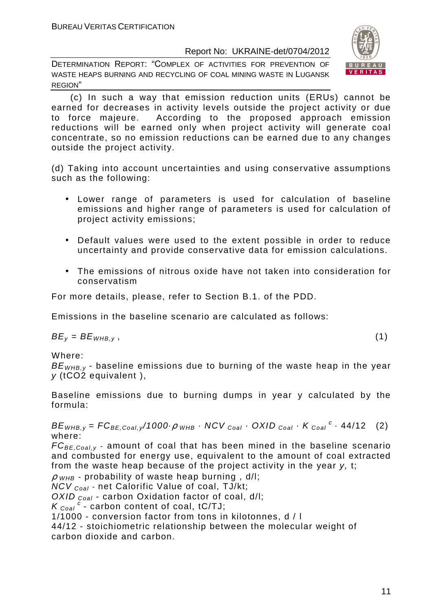DETERMINATION REPORT: "СOMPLEX OF ACTIVITIES FOR PREVENTION OF WASTE HEAPS BURNING AND RECYCLING OF COAL MINING WASTE IN LUGANSK REGION"



 (c) In such a way that emission reduction units (ERUs) cannot be earned for decreases in activity levels outside the project activity or due to force majeure. According to the proposed approach emission reductions will be earned only when project activity will generate coal concentrate, so no emission reductions can be earned due to any changes outside the project activity.

(d) Taking into account uncertainties and using conservative assumptions such as the following:

- Lower range of parameters is used for calculation of baseline emissions and higher range of parameters is used for calculation of project activity emissions;
- Default values were used to the extent possible in order to reduce uncertainty and provide conservative data for emission calculations.
- The emissions of nitrous oxide have not taken into consideration for conservatism

For more details, please, refer to Section B.1. of the PDD.

Emissions in the baseline scenario are calculated as follows:

 $BE_v = BE_{WHB,v}$ , (1)

Where:

 $BE<sub>WHB,V</sub>$  - baseline emissions due to burning of the waste heap in the year y (tCO2 equivalent ),

Baseline emissions due to burning dumps in year y calculated by the formula:

 $BE_{WHB,y} = FC_{BE,Coal,y}/1000 \cdot \rho_{WHB} \cdot NCV_{Coal} \cdot OXID_{Coal} \cdot K_{Coal}^c \cdot 44/12$  (2) where:

 $FC_{BE, coal,v}$  - amount of coal that has been mined in the baseline scenario and combusted for energy use, equivalent to the amount of coal extracted from the waste heap because of the project activity in the year y, t;

 $\rho$  <sub>WHB</sub> - probability of waste heap burning, d/l;

 $NCV_{Coal}$  - net Calorific Value of coal, TJ/kt;

OXID  $_{Coal}$  - carbon Oxidation factor of coal, d/l:

 $K_{\text{Coal}}^c$  - carbon content of coal, tC/TJ;

1/1000 - conversion factor from tons in kilotonnes, d / l

44/12 - stoichiometric relationship between the molecular weight of carbon dioxide and carbon.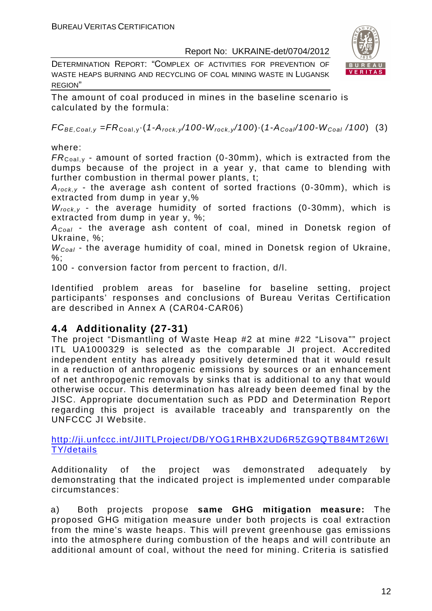DETERMINATION REPORT: "СOMPLEX OF ACTIVITIES FOR PREVENTION OF WASTE HEAPS BURNING AND RECYCLING OF COAL MINING WASTE IN LUGANSK REGION"



The amount of coal produced in mines in the baseline scenario is calculated by the formula:

 $FC_{BE,Coal,v} = FR_{Coal,v} (1-A_{rock,v}/100-W_{rock,v}/100) (1-A_{Coal}/100-W_{Coal}/100)$  (3)

where:

 $FR_{\text{Coal,v}}$  - amount of sorted fraction (0-30mm), which is extracted from the dumps because of the project in a year y, that came to blending with further combustion in thermal power plants, t;

 $A_{rock, v}$  - the average ash content of sorted fractions (0-30mm), which is extracted from dump in year y,%

 $W_{rock, v}$  - the average humidity of sorted fractions (0-30mm), which is extracted from dump in year y, %;

 $A_{Coal}$  - the average ash content of coal, mined in Donetsk region of Ukraine, %;

 $W_{Coal}$  - the average humidity of coal, mined in Donetsk region of Ukraine,  $%$ :

100 - conversion factor from percent to fraction, d/l.

Identified problem areas for baseline for baseline setting, project participants' responses and conclusions of Bureau Veritas Certification are described in Annex A (CAR04-CAR06)

### **4.4 Additionality (27-31)**

The project "Dismantling of Waste Heap #2 at mine #22 "Lisova"" project ITL UA1000329 is selected as the comparable JI project. Accredited independent entity has already positively determined that it would result in a reduction of anthropogenic emissions by sources or an enhancement of net anthropogenic removals by sinks that is additional to any that would otherwise occur. This determination has already been deemed final by the JISC. Appropriate documentation such as PDD and Determination Report regarding this project is available traceably and transparently on the UNFCCC JI Website.

http://ji.unfccc.int/JIITLProject/DB/YOG1RHBX2UD6R5ZG9QTB84MT26WI TY/details

Additionality of the project was demonstrated adequately by demonstrating that the indicated project is implemented under comparable circumstances:

a) Both projects propose **same GHG mitigation measure:** The proposed GHG mitigation measure under both projects is coal extraction from the mine's waste heaps. This will prevent greenhouse gas emissions into the atmosphere during combustion of the heaps and will contribute an additional amount of coal, without the need for mining. Criteria is satisfied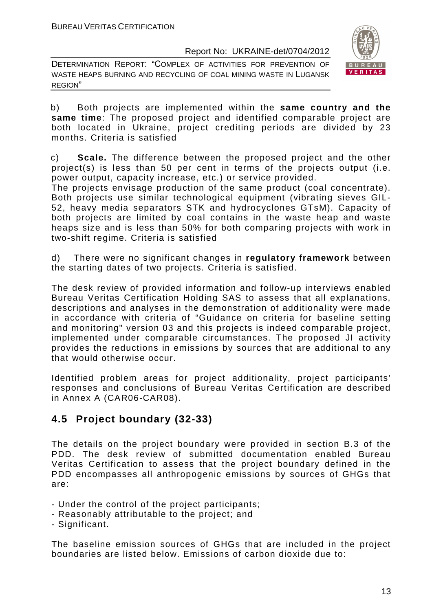DETERMINATION REPORT: "СOMPLEX OF ACTIVITIES FOR PREVENTION OF WASTE HEAPS BURNING AND RECYCLING OF COAL MINING WASTE IN LUGANSK REGION"



b) Both projects are implemented within the **same country and the same time**: The proposed project and identified comparable project are both located in Ukraine, project crediting periods are divided by 23 months. Criteria is satisfied

c) **Scale.** The difference between the proposed project and the other project(s) is less than 50 per cent in terms of the projects output (i.e. power output, capacity increase, etc.) or service provided.

The projects envisage production of the same product (coal concentrate). Both projects use similar technological equipment (vibrating sieves GIL-52, heavy media separators STK and hydrocyclones GTsM). Capacity of both projects are limited by coal contains in the waste heap and waste heaps size and is less than 50% for both comparing projects with work in two-shift regime. Criteria is satisfied

d) There were no significant changes in **regulatory framework** between the starting dates of two projects. Criteria is satisfied.

The desk review of provided information and follow-up interviews enabled Bureau Veritas Certification Holding SAS to assess that all explanations, descriptions and analyses in the demonstration of additionality were made in accordance with criteria of "Guidance on criteria for baseline setting and monitoring" version 03 and this projects is indeed comparable project, implemented under comparable circumstances. The proposed JI activity provides the reductions in emissions by sources that are additional to any that would otherwise occur.

Identified problem areas for project additionality, project participants' responses and conclusions of Bureau Veritas Certification are described in Annex A (CAR06-CAR08).

### **4.5 Project boundary (32-33)**

The details on the project boundary were provided in section B.3 of the PDD. The desk review of submitted documentation enabled Bureau Veritas Certification to assess that the project boundary defined in the PDD encompasses all anthropogenic emissions by sources of GHGs that are:

- Under the control of the project participants;
- Reasonably attributable to the project; and
- Significant.

The baseline emission sources of GHGs that are included in the project boundaries are listed below. Emissions of carbon dioxide due to: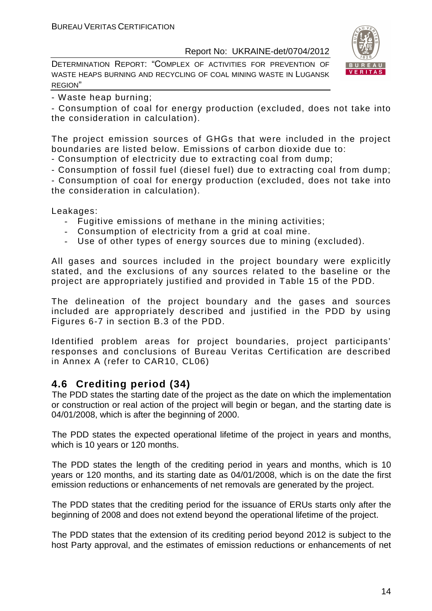DETERMINATION REPORT: "СOMPLEX OF ACTIVITIES FOR PREVENTION OF WASTE HEAPS BURNING AND RECYCLING OF COAL MINING WASTE IN LUGANSK REGION"



- Waste heap burning;

- Consumption of coal for energy production (excluded, does not take into the consideration in calculation).

The project emission sources of GHGs that were included in the project boundaries are listed below. Emissions of carbon dioxide due to:

- Consumption of electricity due to extracting coal from dump;

- Consumption of fossil fuel (diesel fuel) due to extracting coal from dump;

- Consumption of coal for energy production (excluded, does not take into the consideration in calculation).

Leakages:

- Fugitive emissions of methane in the mining activities;
- Consumption of electricity from a grid at coal mine.
- Use of other types of energy sources due to mining (excluded).

All gases and sources included in the project boundary were explicitly stated, and the exclusions of any sources related to the baseline or the project are appropriately justified and provided in Table 15 of the PDD.

The delineation of the project boundary and the gases and sources included are appropriately described and justified in the PDD by using Figures 6-7 in section B.3 of the PDD.

Identified problem areas for project boundaries, project participants' responses and conclusions of Bureau Veritas Certification are described in Annex A (refer to CAR10, CL06)

#### **4.6 Crediting period (34)**

The PDD states the starting date of the project as the date on which the implementation or construction or real action of the project will begin or began, and the starting date is 04/01/2008, which is after the beginning of 2000.

The PDD states the expected operational lifetime of the project in years and months, which is 10 years or 120 months.

The PDD states the length of the crediting period in years and months, which is 10 years or 120 months, and its starting date as 04/01/2008, which is on the date the first emission reductions or enhancements of net removals are generated by the project.

The PDD states that the crediting period for the issuance of ERUs starts only after the beginning of 2008 and does not extend beyond the operational lifetime of the project.

The PDD states that the extension of its crediting period beyond 2012 is subject to the host Party approval, and the estimates of emission reductions or enhancements of net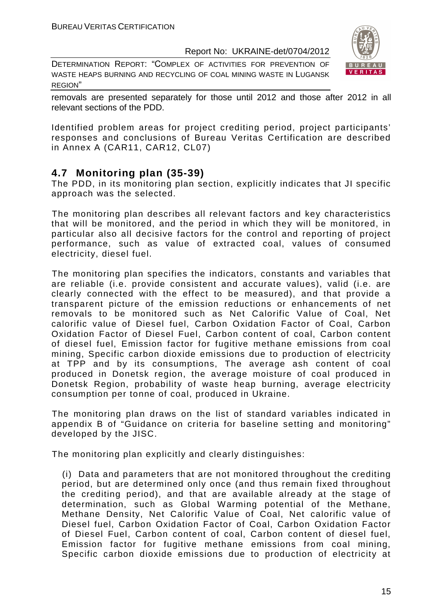DETERMINATION REPORT: "СOMPLEX OF ACTIVITIES FOR PREVENTION OF WASTE HEAPS BURNING AND RECYCLING OF COAL MINING WASTE IN LUGANSK REGION"



removals are presented separately for those until 2012 and those after 2012 in all relevant sections of the PDD.

Identified problem areas for project crediting period, project participants' responses and conclusions of Bureau Veritas Certification are described in Annex A (CAR11, CAR12, CL07)

#### **4.7 Monitoring plan (35-39)**

The PDD, in its monitoring plan section, explicitly indicates that JI specific approach was the selected.

The monitoring plan describes all relevant factors and key characteristics that will be monitored, and the period in which they will be monitored, in particular also all decisive factors for the control and reporting of project performance, such as value of extracted coal, values of consumed electricity, diesel fuel.

The monitoring plan specifies the indicators, constants and variables that are reliable (i.e. provide consistent and accurate values), valid (i.e. are clearly connected with the effect to be measured), and that provide a transparent picture of the emission reductions or enhancements of net removals to be monitored such as Net Calorific Value of Coal, Net calorific value of Diesel fuel, Carbon Oxidation Factor of Coal, Carbon Oxidation Factor of Diesel Fuel, Carbon content of coal, Carbon content of diesel fuel, Emission factor for fugitive methane emissions from coal mining, Specific carbon dioxide emissions due to production of electricity at TPP and by its consumptions, The average ash content of coal produced in Donetsk region, the average moisture of coal produced in Donetsk Region, probability of waste heap burning, average electricity consumption per tonne of coal, produced in Ukraine.

The monitoring plan draws on the list of standard variables indicated in appendix B of "Guidance on criteria for baseline setting and monitoring" developed by the JISC.

The monitoring plan explicitly and clearly distinguishes:

(i) Data and parameters that are not monitored throughout the crediting period, but are determined only once (and thus remain fixed throughout the crediting period), and that are available already at the stage of determination, such as Global Warming potential of the Methane, Methane Density, Net Calorific Value of Coal, Net calorific value of Diesel fuel, Carbon Oxidation Factor of Coal, Carbon Oxidation Factor of Diesel Fuel, Carbon content of coal, Carbon content of diesel fuel, Emission factor for fugitive methane emissions from coal mining, Specific carbon dioxide emissions due to production of electricity at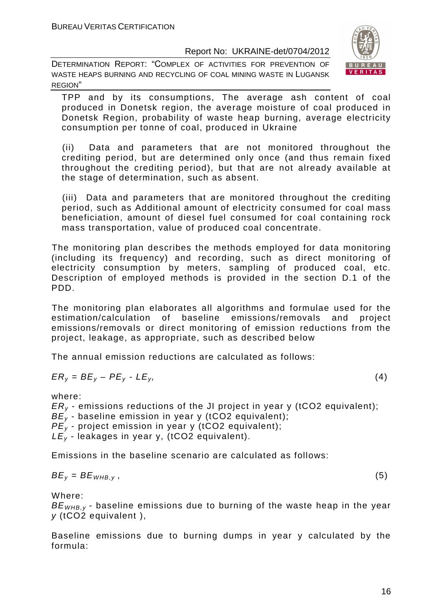DETERMINATION REPORT: "СOMPLEX OF ACTIVITIES FOR PREVENTION OF WASTE HEAPS BURNING AND RECYCLING OF COAL MINING WASTE IN LUGANSK REGION"



TPP and by its consumptions, The average ash content of coal produced in Donetsk region, the average moisture of coal produced in Donetsk Region, probability of waste heap burning, average electricity consumption per tonne of coal, produced in Ukraine

(ii) Data and parameters that are not monitored throughout the crediting period, but are determined only once (and thus remain fixed throughout the crediting period), but that are not already available at the stage of determination, such as absent.

(iii) Data and parameters that are monitored throughout the crediting period, such as Additional amount of electricity consumed for coal mass beneficiation, amount of diesel fuel consumed for coal containing rock mass transportation, value of produced coal concentrate.

The monitoring plan describes the methods employed for data monitoring (including its frequency) and recording, such as direct monitoring of electricity consumption by meters, sampling of produced coal, etc. Description of employed methods is provided in the section D.1 of the PDD.

The monitoring plan elaborates all algorithms and formulae used for the estimation/calculation of baseline emissions/removals and project emissions/removals or direct monitoring of emission reductions from the project, leakage, as appropriate, such as described below

The annual emission reductions are calculated as follows:

$$
ER_y = BE_y - PE_y - LE_y, \tag{4}
$$

where:

 $ER<sub>v</sub>$  - emissions reductions of the JI project in year y (tCO2 equivalent);

 $BE_v$  - baseline emission in year y (tCO2 equivalent);  $PE<sub>y</sub>$  - project emission in year y (tCO2 equivalent);

 $LE_v$  - leakages in year y, (tCO2 equivalent).

Emissions in the baseline scenario are calculated as follows:

$$
BE_y = BE_{WHB,y}, \t\t(5)
$$

Where:

 $BE<sub>WHRV</sub>$  - baseline emissions due to burning of the waste heap in the year y (tCO2 equivalent ),

Baseline emissions due to burning dumps in year y calculated by the formula: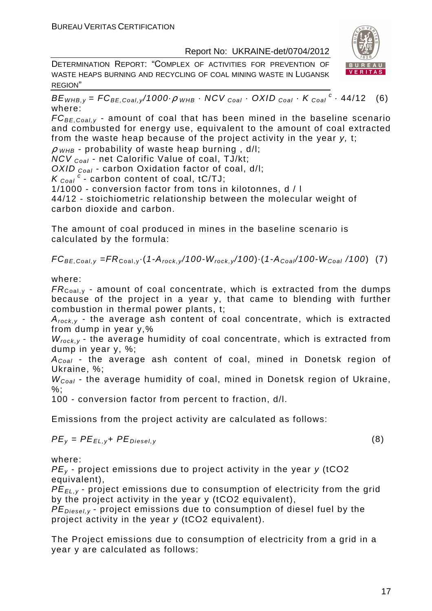DETERMINATION REPORT: "СOMPLEX OF ACTIVITIES FOR PREVENTION OF WASTE HEAPS BURNING AND RECYCLING OF COAL MINING WASTE IN LUGANSK REGION"



 $BE_{WHB,y} = FC_{BE,Coal,y}$ /1000 $\rho_{WHB}$  · NCV  $_{Coal}$  · OXID  $_{Coal}$  · K  $_{Coal}$  <sup>c</sup> · 44/12 (6) where:

 $FC_{BE, coal,v}$  - amount of coal that has been mined in the baseline scenario and combusted for energy use, equivalent to the amount of coal extracted from the waste heap because of the project activity in the year y, t;

 $\rho$  <sub>WHB</sub> - probability of waste heap burning , d/l;

 $NCV_{Coal}$  - net Calorific Value of coal, TJ/kt;

OXID  $_{Coal}$  - carbon Oxidation factor of coal, d/l:

 $K_{\text{Coal}}^c$  - carbon content of coal, tC/TJ;

1/1000 - conversion factor from tons in kilotonnes, d / l

44/12 - stoichiometric relationship between the molecular weight of carbon dioxide and carbon.

The amount of coal produced in mines in the baseline scenario is calculated by the formula:

 $FC_{BE,Coal,v} = FR_{Coal,v} (1-A_{rock,v}/100-W_{rock,v}/100) (1-A_{Coal}/100-W_{Coal}/100)$  (7)

where:

 $FR_{\text{Coal,v}}$  - amount of coal concentrate, which is extracted from the dumps because of the project in a year y, that came to blending with further combustion in thermal power plants, t;

 $A_{rock, v}$  - the average ash content of coal concentrate, which is extracted from dump in year y,%

 $W_{rock,y}$  - the average humidity of coal concentrate, which is extracted from dump in year y, %;

 $A_{Coal}$  - the average ash content of coal, mined in Donetsk region of Ukraine, %;

 $W_{Coal}$  - the average humidity of coal, mined in Donetsk region of Ukraine. %;

100 - conversion factor from percent to fraction, d/l.

Emissions from the project activity are calculated as follows:

$$
PE_{y} = PE_{EL,y} + PE_{Diesel,y}
$$
 (8)

where:

 $PE<sub>v</sub>$  - project emissions due to project activity in the year y (tCO2 equivalent),

PE<sub>FL, y</sub> - project emissions due to consumption of electricity from the grid by the project activity in the year y (tCO2 equivalent),

 $PE_{\text{Diesel.}v}$  - project emissions due to consumption of diesel fuel by the project activity in the year y (tCO2 equivalent).

The Project emissions due to consumption of electricity from a grid in a year y are calculated as follows: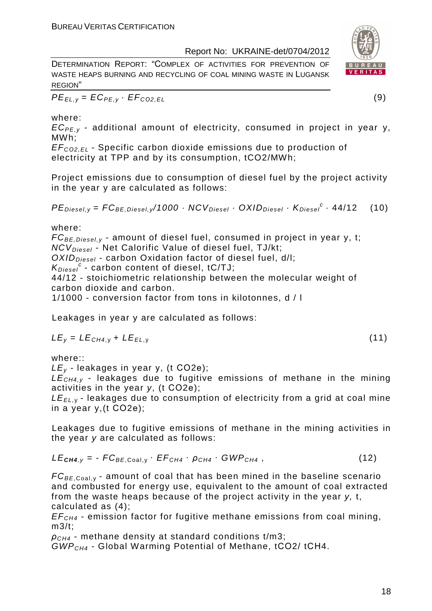DETERMINATION REPORT: "СOMPLEX OF ACTIVITIES FOR PREVENTION OF WASTE HEAPS BURNING AND RECYCLING OF COAL MINING WASTE IN LUGANSK REGION"

 $PE_{EL,y} = EC_{PE,y} \cdot EF_{CO2,EL}$  (9)

#### where:

 $EC_{PE,v}$  - additional amount of electricity, consumed in project in year y, MWh;

EF<sup>C</sup>*О*2,EL - Specific carbon dioxide emissions due to production of electricity at TPP and by its consumption, tCO2/MWh;

Project emissions due to consumption of diesel fuel by the project activity in the year y are calculated as follows:

 $PE_{\text{Diesel},y} = FC_{BE,\text{Diesel},y}/1000 \cdot NCV_{\text{Diesel}} \cdot OXID_{\text{Diesel}} \cdot K_{\text{Diesel}}^c \cdot 44/12$  (10)

where:

 $FC_{BE, Diesel, v}$  - amount of diesel fuel, consumed in project in year v, t; NCV<sub>Diesel</sub> - Net Calorific Value of diesel fuel, TJ/kt;  $OXID<sub>Diesel</sub>$  - carbon Oxidation factor of diesel fuel, d/l;

 $K_{\text{Diesel}}^c$  - carbon content of diesel, tC/TJ;

44/12 - stoichiometric relationship between the molecular weight of carbon dioxide and carbon.

1/1000 - conversion factor from tons in kilotonnes, d / l

Leakages in year y are calculated as follows:

$$
LE_y = LE_{CH4,y} + LE_{EL,y}
$$
 (11)

where::

 $LE<sub>v</sub>$  - leakages in year y, (t CO2e);

 $LE<sub>CH4,V</sub>$  - leakages due to fugitive emissions of methane in the mining activities in the year y, (t СО2е);

 $LE_{EL, y}$  - leakages due to consumption of electricity from a grid at coal mine in a year y,(t СО2е);

Leakages due to fugitive emissions of methane in the mining activities in the year y are calculated as follows:

 $LE<sub>CH4,V</sub> = - FC<sub>BE,Coal,V</sub> · EF<sub>CH4</sub> ·  $\rho_{CH4}$  · GWP<sub>CH4</sub> , (12)$ 

 $FC_{BE,Coal,v}$  - amount of coal that has been mined in the baseline scenario and combusted for energy use, equivalent to the amount of coal extracted from the waste heaps because of the project activity in the year y, t, calculated as (4);

 $EF<sub>CH4</sub>$  - emission factor for fugitive methane emissions from coal mining, m3/t;

 $ρ<sub>CH4</sub>$  - methane density at standard conditions t/m3;

GWPCH4 - Global Warming Potential of Methane, tСО2/ tСН4.



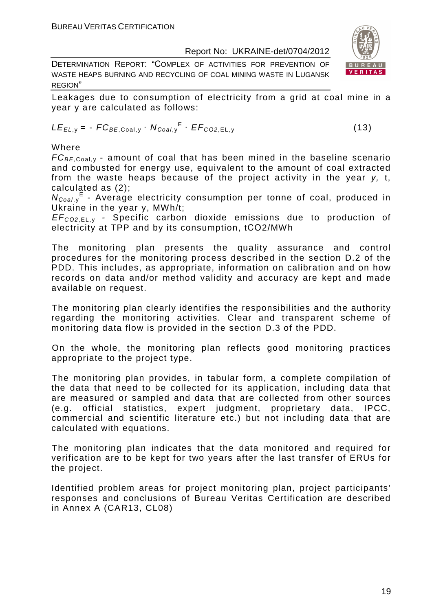DETERMINATION REPORT: "СOMPLEX OF ACTIVITIES FOR PREVENTION OF WASTE HEAPS BURNING AND RECYCLING OF COAL MINING WASTE IN LUGANSK REGION"



Leakages due to consumption of electricity from a grid at coal mine in a year y are calculated as follows:

$$
LE_{EL,y} = -FC_{BE,Coal,y} \cdot N_{Coal,y}^{E} \cdot EF_{CO2,EL,y}
$$
 (13)

Where

 $FC_{BE, coal,v}$  - amount of coal that has been mined in the baseline scenario and combusted for energy use, equivalent to the amount of coal extracted from the waste heaps because of the project activity in the year y, t, calculated as (2);

N<sub>Coal,y</sub><sup>E</sup> - Average electricity consumption per tonne of coal, produced in Ukraine in the year y, MWh/t;

EF<sup>C</sup>*О*2,EL, <sup>у</sup> - Specific carbon dioxide emissions due to production of electricity at TPP and by its consumption, tСО2/MWh

The monitoring plan presents the quality assurance and control procedures for the monitoring process described in the section D.2 of the PDD. This includes, as appropriate, information on calibration and on how records on data and/or method validity and accuracy are kept and made available on request.

The monitoring plan clearly identifies the responsibilities and the authority regarding the monitoring activities. Clear and transparent scheme of monitoring data flow is provided in the section D.3 of the PDD.

On the whole, the monitoring plan reflects good monitoring practices appropriate to the project type.

The monitoring plan provides, in tabular form, a complete compilation of the data that need to be collected for its application, including data that are measured or sampled and data that are collected from other sources (e.g. official statistics, expert judgment, proprietary data, IPCC, commercial and scientific literature etc.) but not including data that are calculated with equations.

The monitoring plan indicates that the data monitored and required for verification are to be kept for two years after the last transfer of ERUs for the project.

Identified problem areas for project monitoring plan, project participants' responses and conclusions of Bureau Veritas Certification are described in Annex A (CAR13, CL08)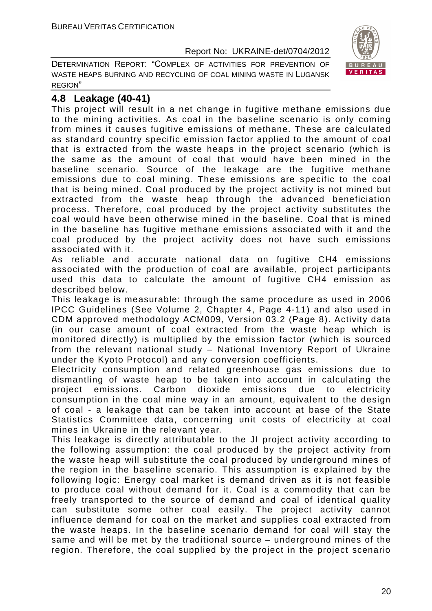DETERMINATION REPORT: "СOMPLEX OF ACTIVITIES FOR PREVENTION OF WASTE HEAPS BURNING AND RECYCLING OF COAL MINING WASTE IN LUGANSK REGION"



#### **4.8 Leakage (40-41)**

This project will result in a net change in fugitive methane emissions due to the mining activities. As coal in the baseline scenario is only coming from mines it causes fugitive emissions of methane. These are calculated as standard country specific emission factor applied to the amount of coal that is extracted from the waste heaps in the project scenario (which is the same as the amount of coal that would have been mined in the baseline scenario. Source of the leakage are the fugitive methane emissions due to coal mining. These emissions are specific to the coal that is being mined. Coal produced by the project activity is not mined but extracted from the waste heap through the advanced beneficiation process. Therefore, coal produced by the project activity substitutes the coal would have been otherwise mined in the baseline. Coal that is mined in the baseline has fugitive methane emissions associated with it and the coal produced by the project activity does not have such emissions associated with it.

As reliable and accurate national data on fugitive CH4 emissions associated with the production of coal are available, project participants used this data to calculate the amount of fugitive CH4 emission as described below.

This leakage is measurable: through the same procedure as used in 2006 IPCC Guidelines (See Volume 2, Chapter 4, Page 4-11) and also used in CDM approved methodology ACM009, Version 03.2 (Page 8). Activity data (in our case amount of coal extracted from the waste heap which is monitored directly) is multiplied by the emission factor (which is sourced from the relevant national study – National Inventory Report of Ukraine under the Kyoto Protocol) and any conversion coefficients.

Electricity consumption and related greenhouse gas emissions due to dismantling of waste heap to be taken into account in calculating the project emissions. Carbon dioxide emissions due to electricity consumption in the coal mine way in an amount, equivalent to the design of coal - a leakage that can be taken into account at base of the State Statistics Committee data, concerning unit costs of electricity at coal mines in Ukraine in the relevant year.

This leakage is directly attributable to the JI project activity according to the following assumption: the coal produced by the project activity from the waste heap will substitute the coal produced by underground mines of the region in the baseline scenario. This assumption is explained by the following logic: Energy coal market is demand driven as it is not feasible to produce coal without demand for it. Coal is a commodity that can be freely transported to the source of demand and coal of identical quality can substitute some other coal easily. The project activity cannot influence demand for coal on the market and supplies coal extracted from the waste heaps. In the baseline scenario demand for coal will stay the same and will be met by the traditional source – underground mines of the region. Therefore, the coal supplied by the project in the project scenario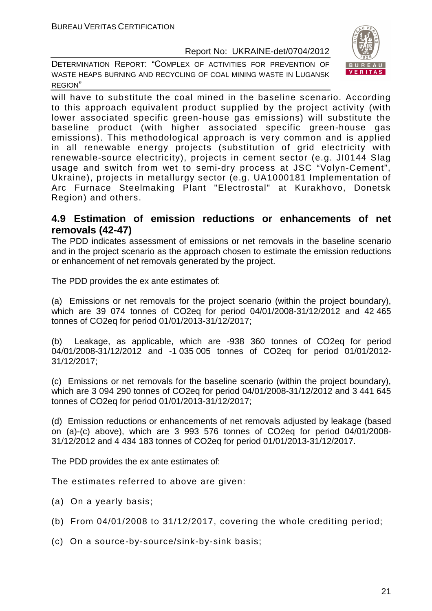DETERMINATION REPORT: "СOMPLEX OF ACTIVITIES FOR PREVENTION OF WASTE HEAPS BURNING AND RECYCLING OF COAL MINING WASTE IN LUGANSK REGION"



will have to substitute the coal mined in the baseline scenario. According to this approach equivalent product supplied by the project activity (with lower associated specific green-house gas emissions) will substitute the baseline product (with higher associated specific green-house gas emissions). This methodological approach is very common and is applied in all renewable energy projects (substitution of grid electricity with renewable-source electricity), projects in cement sector (e.g. JI0144 Slag usage and switch from wet to semi-dry process at JSC "Volyn-Cement", Ukraine), projects in metallurgy sector (e.g. UA1000181 Implementation of Arc Furnace Steelmaking Plant "Electrostal" at Kurakhovo, Donetsk Region) and others.

#### **4.9 Estimation of emission reductions or enhancements of net removals (42-47)**

The PDD indicates assessment of emissions or net removals in the baseline scenario and in the project scenario as the approach chosen to estimate the emission reductions or enhancement of net removals generated by the project.

The PDD provides the ex ante estimates of:

(a) Emissions or net removals for the project scenario (within the project boundary), which are 39 074 tonnes of CO2eq for period 04/01/2008-31/12/2012 and 42 465 tonnes of CO2eq for period 01/01/2013-31/12/2017;

(b) Leakage, as applicable, which are -938 360 tonnes of CO2eq for period 04/01/2008-31/12/2012 and -1 035 005 tonnes of CO2eq for period 01/01/2012- 31/12/2017;

(c) Emissions or net removals for the baseline scenario (within the project boundary), which are 3 094 290 tonnes of CO2eq for period 04/01/2008-31/12/2012 and 3 441 645 tonnes of CO2eq for period 01/01/2013-31/12/2017;

(d) Emission reductions or enhancements of net removals adjusted by leakage (based on (a)-(c) above), which are 3 993 576 tonnes of CO2eq for period 04/01/2008- 31/12/2012 and 4 434 183 tonnes of CO2eq for period 01/01/2013-31/12/2017.

The PDD provides the ex ante estimates of:

The estimates referred to above are given:

- (a) On a yearly basis;
- (b) From 04/01/2008 to 31/12/2017, covering the whole crediting period;
- (c) On a source-by-source/sink-by-sink basis;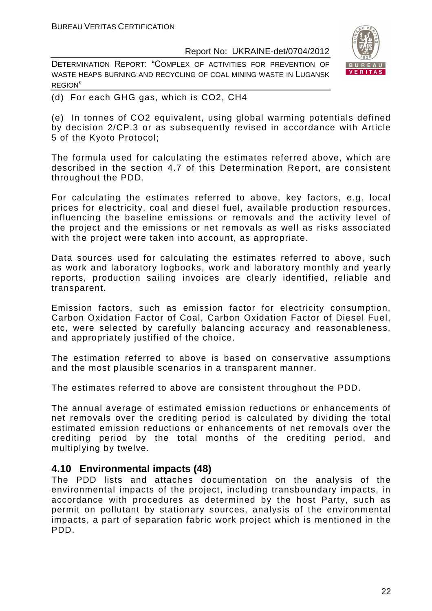DETERMINATION REPORT: "СOMPLEX OF ACTIVITIES FOR PREVENTION OF WASTE HEAPS BURNING AND RECYCLING OF COAL MINING WASTE IN LUGANSK REGION"



(d) For each GHG gas, which is CO2, СН4

(e) In tonnes of CO2 equivalent, using global warming potentials defined by decision 2/CP.3 or as subsequently revised in accordance with Article 5 of the Kyoto Protocol;

The formula used for calculating the estimates referred above, which are described in the section 4.7 of this Determination Report, are consistent throughout the PDD.

For calculating the estimates referred to above, key factors, e.g. local prices for electricity, coal and diesel fuel, available production resources, influencing the baseline emissions or removals and the activity level of the project and the emissions or net removals as well as risks associated with the project were taken into account, as appropriate.

Data sources used for calculating the estimates referred to above, such as work and laboratory logbooks, work and laboratory monthly and yearly reports, production sailing invoices are clearly identified, reliable and transparent.

Emission factors, such as emission factor for electricity consumption, Carbon Oxidation Factor of Coal, Carbon Oxidation Factor of Diesel Fuel, etc, were selected by carefully balancing accuracy and reasonableness, and appropriately justified of the choice.

The estimation referred to above is based on conservative assumptions and the most plausible scenarios in a transparent manner.

The estimates referred to above are consistent throughout the PDD.

The annual average of estimated emission reductions or enhancements of net removals over the crediting period is calculated by dividing the total estimated emission reductions or enhancements of net removals over the crediting period by the total months of the crediting period, and multiplying by twelve.

#### **4.10 Environmental impacts (48)**

The PDD lists and attaches documentation on the analysis of the environmental impacts of the project, including transboundary impacts, in accordance with procedures as determined by the host Party, such as permit on pollutant by stationary sources, analysis of the environmental impacts, a part of separation fabric work project which is mentioned in the PDD.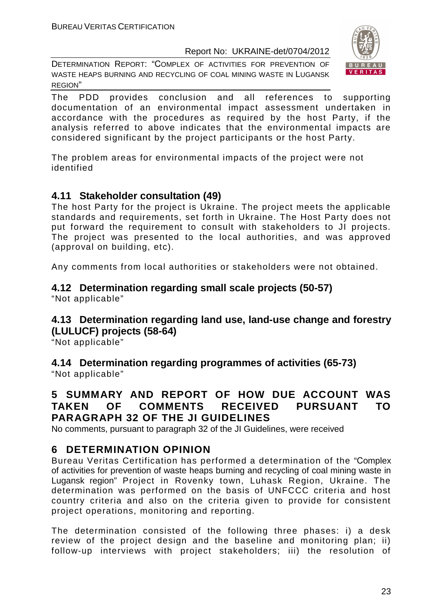DETERMINATION REPORT: "СOMPLEX OF ACTIVITIES FOR PREVENTION OF WASTE HEAPS BURNING AND RECYCLING OF COAL MINING WASTE IN LUGANSK REGION"



The PDD provides conclusion and all references to supporting documentation of an environmental impact assessment undertaken in accordance with the procedures as required by the host Party, if the analysis referred to above indicates that the environmental impacts are considered significant by the project participants or the host Party.

The problem areas for environmental impacts of the project were not identified

#### **4.11 Stakeholder consultation (49)**

The host Party for the project is Ukraine. The project meets the applicable standards and requirements, set forth in Ukraine. The Host Party does not put forward the requirement to consult with stakeholders to JI projects. The project was presented to the local authorities, and was approved (approval on building, etc).

Any comments from local authorities or stakeholders were not obtained.

#### **4.12 Determination regarding small scale projects (50-57)**  "Not applicable"

#### **4.13 Determination regarding land use, land-use change and forestry (LULUCF) projects (58-64)**

"Not applicable"

**4.14 Determination regarding programmes of activities (65-73)**  "Not applicable"

#### **5 SUMMARY AND REPORT OF HOW DUE ACCOUNT WAS TAKEN OF COMMENTS RECEIVED PURSUANT TO PARAGRAPH 32 OF THE JI GUIDELINES**

No comments, pursuant to paragraph 32 of the JI Guidelines, were received

### **6 DETERMINATION OPINION**

Bureau Veritas Certification has performed a determination of the "Сomplex of activities for prevention of waste heaps burning and recycling of coal mining waste in Lugansk region" Project in Rovenky town, Luhask Region, Ukraine. The determination was performed on the basis of UNFCCC criteria and host country criteria and also on the criteria given to provide for consistent project operations, monitoring and reporting.

The determination consisted of the following three phases: i) a desk review of the project design and the baseline and monitoring plan; ii) follow-up interviews with project stakeholders; iii) the resolution of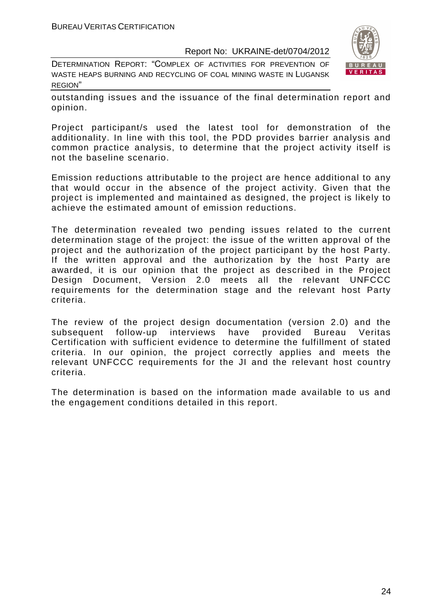DETERMINATION REPORT: "СOMPLEX OF ACTIVITIES FOR PREVENTION OF WASTE HEAPS BURNING AND RECYCLING OF COAL MINING WASTE IN LUGANSK REGION"



outstanding issues and the issuance of the final determination report and opinion.

Project participant/s used the latest tool for demonstration of the additionality. In line with this tool, the PDD provides barrier analysis and common practice analysis, to determine that the project activity itself is not the baseline scenario.

Emission reductions attributable to the project are hence additional to any that would occur in the absence of the project activity. Given that the project is implemented and maintained as designed, the project is likely to achieve the estimated amount of emission reductions.

The determination revealed two pending issues related to the current determination stage of the project: the issue of the written approval of the project and the authorization of the project participant by the host Party. If the written approval and the authorization by the host Party are awarded, it is our opinion that the project as described in the Project Design Document, Version 2.0 meets all the relevant UNFCCC requirements for the determination stage and the relevant host Party criteria.

The review of the project design documentation (version 2.0) and the subsequent follow-up interviews have provided Bureau Veritas Certification with sufficient evidence to determine the fulfillment of stated criteria. In our opinion, the project correctly applies and meets the relevant UNFCCC requirements for the JI and the relevant host country criteria.

The determination is based on the information made available to us and the engagement conditions detailed in this report.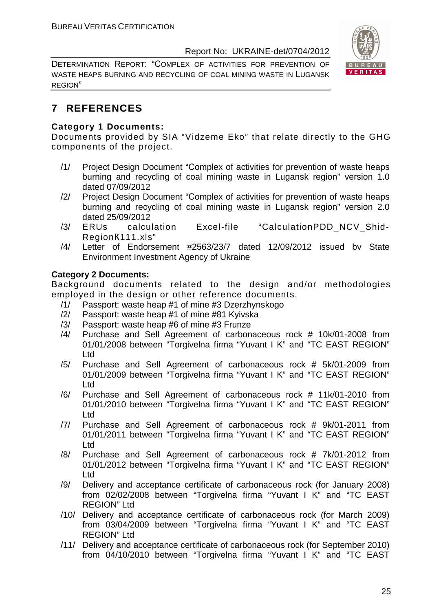DETERMINATION REPORT: "СOMPLEX OF ACTIVITIES FOR PREVENTION OF WASTE HEAPS BURNING AND RECYCLING OF COAL MINING WASTE IN LUGANSK REGION"



#### **7 REFERENCES**

#### **Category 1 Documents:**

Documents provided by SIA "Vidzeme Eko" that relate directly to the GHG components of the project.

- /1/ Project Design Document "Сomplex of activities for prevention of waste heaps burning and recycling of coal mining waste in Lugansk region" version 1.0 dated 07/09/2012
- /2/ Project Design Document "Сomplex of activities for prevention of waste heaps burning and recycling of coal mining waste in Lugansk region" version 2.0 dated 25/09/2012
- /3/ ERUs calculation Excel-file "CalculationPDD\_NCV\_Shid-RegionК111.xls"
- /4/ Letter of Endorsement #2563/23/7 dated 12/09/2012 issued bv State Environment Investment Agency of Ukraine

#### **Category 2 Documents:**

Background documents related to the design and/or methodologies employed in the design or other reference documents.

- /1/ Passport: waste heap #1 of mine #3 Dzerzhynskogo
- /2/ Passport: waste heap #1 of mine #81 Kyivska
- /3/ Passport: waste heap #6 of mine #3 Frunze
- /4/ Purchase and Sell Agreement of carbonaceous rock # 10k/01-2008 from 01/01/2008 between "Torgivelna firma "Yuvant I K" and "TC EAST REGION" Ltd
- /5/ Purchase and Sell Agreement of carbonaceous rock # 5k/01-2009 from 01/01/2009 between "Torgivelna firma "Yuvant I K" and "TC EAST REGION" Ltd
- /6/ Purchase and Sell Agreement of carbonaceous rock # 11k/01-2010 from 01/01/2010 between "Torgivelna firma "Yuvant I K" and "TC EAST REGION" Ltd
- /7/ Purchase and Sell Agreement of carbonaceous rock # 9k/01-2011 from 01/01/2011 between "Torgivelna firma "Yuvant I K" and "TC EAST REGION" Ltd
- /8/ Purchase and Sell Agreement of carbonaceous rock # 7k/01-2012 from 01/01/2012 between "Torgivelna firma "Yuvant I K" and "TC EAST REGION" Ltd
- /9/ Delivery and acceptance certificate of carbonaceous rock (for January 2008) from 02/02/2008 between "Torgivelna firma "Yuvant I K" and "TC EAST REGION" Ltd
- /10/ Delivery and acceptance certificate of carbonaceous rock (for March 2009) from 03/04/2009 between "Torgivelna firma "Yuvant I K" and "TC EAST REGION" Ltd
- /11/ Delivery and acceptance certificate of carbonaceous rock (for September 2010) from 04/10/2010 between "Torgivelna firma "Yuvant I K" and "TC EAST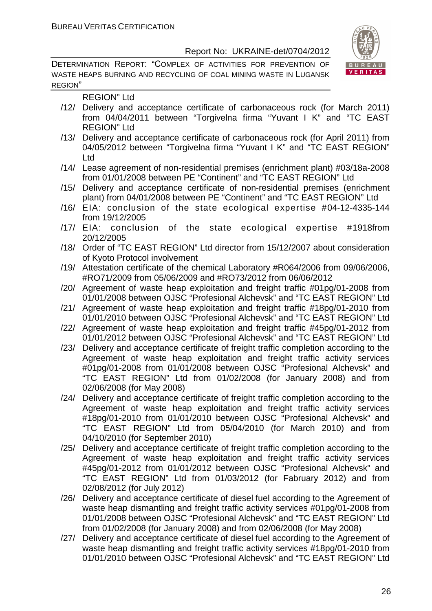DETERMINATION REPORT: "СOMPLEX OF ACTIVITIES FOR PREVENTION OF WASTE HEAPS BURNING AND RECYCLING OF COAL MINING WASTE IN LUGANSK REGION"



REGION" Ltd

- /12/ Delivery and acceptance certificate of carbonaceous rock (for March 2011) from 04/04/2011 between "Torgivelna firma "Yuvant I K" and "TC EAST REGION" Ltd
- /13/ Delivery and acceptance certificate of carbonaceous rock (for April 2011) from 04/05/2012 between "Torgivelna firma "Yuvant I K" and "TC EAST REGION" Ltd
- /14/ Lease agreement of non-residential premises (enrichment plant) #03/18a-2008 from 01/01/2008 between PE "Continent" and "TC EAST REGION" Ltd
- /15/ Delivery and acceptance certificate of non-residential premises (enrichment plant) from 04/01/2008 between PE "Continent" and "TC EAST REGION" Ltd
- /16/ EIA: conclusion of the state ecological expertise #04-12-4335-144 from 19/12/2005
- /17/ EIA: conclusion of the state ecological expertise #1918from 20/12/2005
- /18/ Order of "TC EAST REGION" Ltd director from 15/12/2007 about consideration of Kyoto Protocol involvement
- /19/ Attestation certificate of the chemical Laboratory #R064/2006 from 09/06/2006, #RO71/2009 from 05/06/2009 and #RO73/2012 from 06/06/2012
- /20/ Agreement of waste heap exploitation and freight traffic #01pg/01-2008 from 01/01/2008 between OJSC "Profesional Alchevsk" and "TC EAST REGION" Ltd
- /21/ Agreement of waste heap exploitation and freight traffic #18pg/01-2010 from 01/01/2010 between OJSC "Profesional Alchevsk" and "TC EAST REGION" Ltd
- /22/ Agreement of waste heap exploitation and freight traffic #45pg/01-2012 from 01/01/2012 between OJSC "Profesional Alchevsk" and "TC EAST REGION" Ltd
- /23/ Delivery and acceptance certificate of freight traffic completion according to the Agreement of waste heap exploitation and freight traffic activity services #01pg/01-2008 from 01/01/2008 between OJSC "Profesional Alchevsk" and "TC EAST REGION" Ltd from 01/02/2008 (for January 2008) and from 02/06/2008 (for May 2008)
- /24/ Delivery and acceptance certificate of freight traffic completion according to the Agreement of waste heap exploitation and freight traffic activity services #18pg/01-2010 from 01/01/2010 between OJSC "Profesional Alchevsk" and "TC EAST REGION" Ltd from 05/04/2010 (for March 2010) and from 04/10/2010 (for September 2010)
- /25/ Delivery and acceptance certificate of freight traffic completion according to the Agreement of waste heap exploitation and freight traffic activity services #45pg/01-2012 from 01/01/2012 between OJSC "Profesional Alchevsk" and "TC EAST REGION" Ltd from 01/03/2012 (for Fabruary 2012) and from 02/08/2012 (for July 2012)
- /26/ Delivery and acceptance certificate of diesel fuel according to the Agreement of waste heap dismantling and freight traffic activity services #01pg/01-2008 from 01/01/2008 between OJSC "Profesional Alchevsk" and "TC EAST REGION" Ltd from 01/02/2008 (for January 2008) and from 02/06/2008 (for May 2008)
- /27/ Delivery and acceptance certificate of diesel fuel according to the Agreement of waste heap dismantling and freight traffic activity services #18pg/01-2010 from 01/01/2010 between OJSC "Profesional Alchevsk" and "TC EAST REGION" Ltd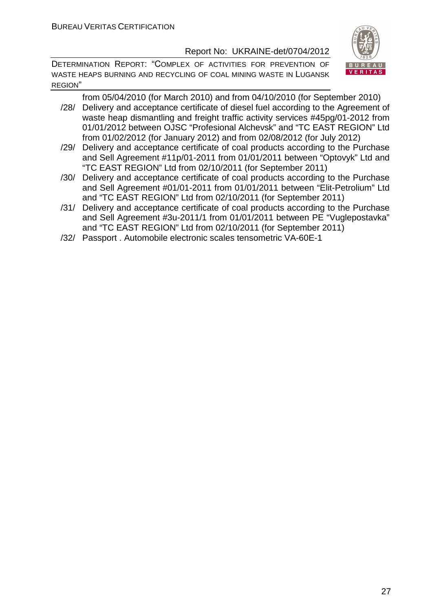DETERMINATION REPORT: "СOMPLEX OF ACTIVITIES FOR PREVENTION OF WASTE HEAPS BURNING AND RECYCLING OF COAL MINING WASTE IN LUGANSK REGION"



from 05/04/2010 (for March 2010) and from 04/10/2010 (for September 2010) /28/ Delivery and acceptance certificate of diesel fuel according to the Agreement of

- waste heap dismantling and freight traffic activity services #45pg/01-2012 from 01/01/2012 between OJSC "Profesional Alchevsk" and "TC EAST REGION" Ltd from 01/02/2012 (for January 2012) and from 02/08/2012 (for July 2012)
- /29/ Delivery and acceptance certificate of coal products according to the Purchase and Sell Agreement #11p/01-2011 from 01/01/2011 between "Optovyk" Ltd and "TC EAST REGION" Ltd from 02/10/2011 (for September 2011)
- /30/ Delivery and acceptance certificate of coal products according to the Purchase and Sell Agreement #01/01-2011 from 01/01/2011 between "Elit-Petrolium" Ltd and "TC EAST REGION" Ltd from 02/10/2011 (for September 2011)
- /31/ Delivery and acceptance certificate of coal products according to the Purchase and Sell Agreement #3u-2011/1 from 01/01/2011 between PE "Vuglepostavka" and "TC EAST REGION" Ltd from 02/10/2011 (for September 2011)
- /32/ Passport . Automobile electronic scales tensometric VA-60E-1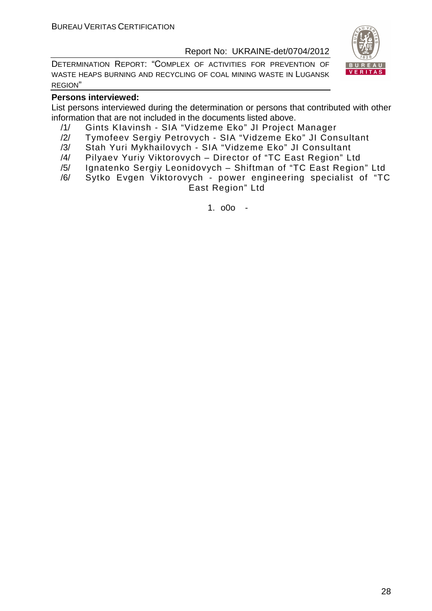DETERMINATION REPORT: "СOMPLEX OF ACTIVITIES FOR PREVENTION OF WASTE HEAPS BURNING AND RECYCLING OF COAL MINING WASTE IN LUGANSK REGION"



#### **Persons interviewed:**

List persons interviewed during the determination or persons that contributed with other information that are not included in the documents listed above.

- /1/ Gints KIavinsh SIA "Vidzeme Eko" JI Project Manager
- /2/ Tymofeev Sergiy Petrovych SIA "Vidzeme Eko" JI Consultant
- /3/ Stah Yuri Mykhailovych SIA "Vidzeme Eko" JI Consultant
- /4/ Pilyaev Yuriy Viktorovych Director of "TC East Region" Ltd
- /5/ Ignatenko Sergiy Leonidovych Shiftman of "TC East Region" Ltd
- /6/ Sytko Evgen Viktorovych power engineering specialist of "TC East Region" Ltd

1. o0o -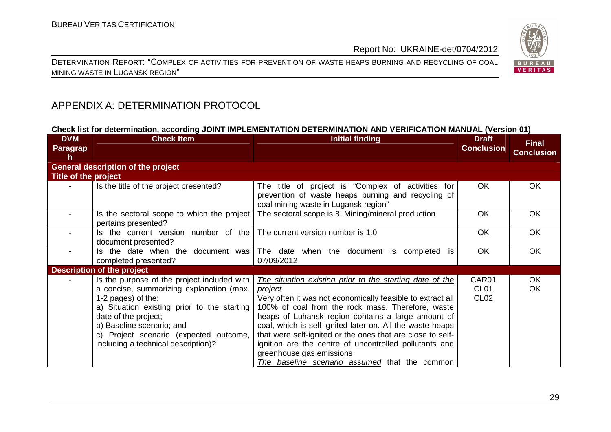



#### APPENDIX A: DETERMINATION PROTOCOL

#### **Check list for determination, according JOINT IMPLEMENTATION DETERMINATION AND VERIFICATION MANUAL (Version 01)**

| <b>DVM</b><br><b>Paragrap</b><br>h | <b>Check Item</b>                                                                                                                                                                                                                                                                                  | <b>Initial finding</b>                                                                                                                                                                                                                                                                                                                                                                                                                                                                                                | <b>Draft</b><br><b>Conclusion</b>             | <b>Final</b><br><b>Conclusion</b> |
|------------------------------------|----------------------------------------------------------------------------------------------------------------------------------------------------------------------------------------------------------------------------------------------------------------------------------------------------|-----------------------------------------------------------------------------------------------------------------------------------------------------------------------------------------------------------------------------------------------------------------------------------------------------------------------------------------------------------------------------------------------------------------------------------------------------------------------------------------------------------------------|-----------------------------------------------|-----------------------------------|
|                                    | <b>General description of the project</b>                                                                                                                                                                                                                                                          |                                                                                                                                                                                                                                                                                                                                                                                                                                                                                                                       |                                               |                                   |
| Title of the project               |                                                                                                                                                                                                                                                                                                    |                                                                                                                                                                                                                                                                                                                                                                                                                                                                                                                       |                                               |                                   |
|                                    | Is the title of the project presented?                                                                                                                                                                                                                                                             | The title of project is "Complex of activities for<br>prevention of waste heaps burning and recycling of<br>coal mining waste in Lugansk region"                                                                                                                                                                                                                                                                                                                                                                      | OK                                            | OK                                |
|                                    | Is the sectoral scope to which the project<br>pertains presented?                                                                                                                                                                                                                                  | The sectoral scope is 8. Mining/mineral production                                                                                                                                                                                                                                                                                                                                                                                                                                                                    | <b>OK</b>                                     | <b>OK</b>                         |
|                                    | Is the current version number of the<br>document presented?                                                                                                                                                                                                                                        | The current version number is 1.0                                                                                                                                                                                                                                                                                                                                                                                                                                                                                     | <b>OK</b>                                     | <b>OK</b>                         |
|                                    | Is the date when the document was<br>completed presented?                                                                                                                                                                                                                                          | The date when the document is<br>completed is<br>07/09/2012                                                                                                                                                                                                                                                                                                                                                                                                                                                           | <b>OK</b>                                     | <b>OK</b>                         |
|                                    | Description of the project                                                                                                                                                                                                                                                                         |                                                                                                                                                                                                                                                                                                                                                                                                                                                                                                                       |                                               |                                   |
|                                    | Is the purpose of the project included with<br>a concise, summarizing explanation (max.<br>1-2 pages) of the:<br>a) Situation existing prior to the starting<br>date of the project;<br>b) Baseline scenario; and<br>c) Project scenario (expected outcome,<br>including a technical description)? | The situation existing prior to the starting date of the<br><i>project</i><br>Very often it was not economically feasible to extract all<br>100% of coal from the rock mass. Therefore, waste<br>heaps of Luhansk region contains a large amount of<br>coal, which is self-ignited later on. All the waste heaps<br>that were self-ignited or the ones that are close to self-<br>ignition are the centre of uncontrolled pollutants and<br>greenhouse gas emissions<br>The baseline scenario assumed that the common | CAR01<br>CL <sub>01</sub><br>CL <sub>02</sub> | OK<br><b>OK</b>                   |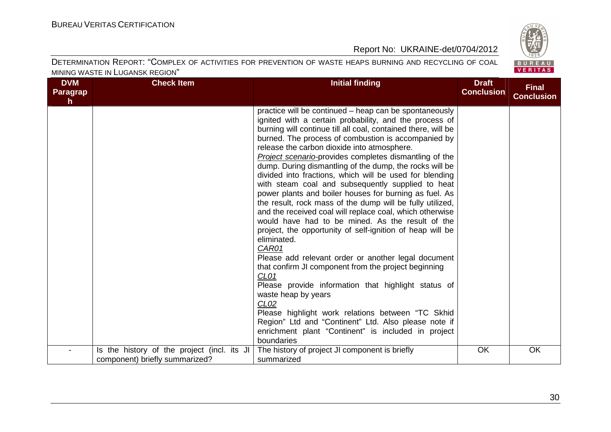

| <b>DVM</b><br>Paragrap<br>h | <b>Check Item</b>                                                             | <b>Initial finding</b>                                                                                                                                                                                                                                                                                                                                                                                                                                                                                                                                                                                                                                                                                                                                                                                                                                                                                                                                                                                                                                                                                                                                                                                                                                                          | <b>Draft</b><br><b>Conclusion</b> | <b>Final</b><br><b>Conclusion</b> |
|-----------------------------|-------------------------------------------------------------------------------|---------------------------------------------------------------------------------------------------------------------------------------------------------------------------------------------------------------------------------------------------------------------------------------------------------------------------------------------------------------------------------------------------------------------------------------------------------------------------------------------------------------------------------------------------------------------------------------------------------------------------------------------------------------------------------------------------------------------------------------------------------------------------------------------------------------------------------------------------------------------------------------------------------------------------------------------------------------------------------------------------------------------------------------------------------------------------------------------------------------------------------------------------------------------------------------------------------------------------------------------------------------------------------|-----------------------------------|-----------------------------------|
|                             |                                                                               | practice will be continued – heap can be spontaneously<br>ignited with a certain probability, and the process of<br>burning will continue till all coal, contained there, will be<br>burned. The process of combustion is accompanied by<br>release the carbon dioxide into atmosphere.<br>Project scenario-provides completes dismantling of the<br>dump. During dismantling of the dump, the rocks will be<br>divided into fractions, which will be used for blending<br>with steam coal and subsequently supplied to heat<br>power plants and boiler houses for burning as fuel. As<br>the result, rock mass of the dump will be fully utilized,<br>and the received coal will replace coal, which otherwise<br>would have had to be mined. As the result of the<br>project, the opportunity of self-ignition of heap will be<br>eliminated.<br>CAR01<br>Please add relevant order or another legal document<br>that confirm JI component from the project beginning<br>CL <sub>01</sub><br>Please provide information that highlight status of<br>waste heap by years<br>CL <sub>02</sub><br>Please highlight work relations between "TC Skhid<br>Region" Ltd and "Continent" Ltd. Also please note if<br>enrichment plant "Continent" is included in project<br>boundaries |                                   |                                   |
|                             | Is the history of the project (incl. its JI<br>component) briefly summarized? | The history of project JI component is briefly<br>summarized                                                                                                                                                                                                                                                                                                                                                                                                                                                                                                                                                                                                                                                                                                                                                                                                                                                                                                                                                                                                                                                                                                                                                                                                                    | OK                                | OK                                |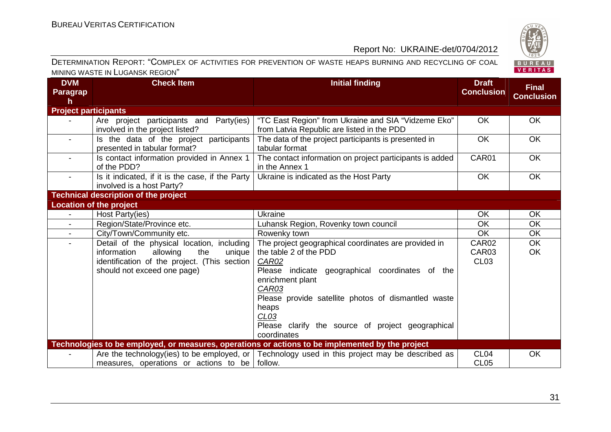

| <b>DVM</b><br><b>Paragrap</b><br>h. | <b>Check Item</b>                                                                                                                                                     | <b>Initial finding</b>                                                                                                                                                                                                                                                                                                                 | <b>Draft</b><br><b>Conclusion</b> | <b>Final</b><br><b>Conclusion</b> |
|-------------------------------------|-----------------------------------------------------------------------------------------------------------------------------------------------------------------------|----------------------------------------------------------------------------------------------------------------------------------------------------------------------------------------------------------------------------------------------------------------------------------------------------------------------------------------|-----------------------------------|-----------------------------------|
| <b>Project participants</b>         |                                                                                                                                                                       |                                                                                                                                                                                                                                                                                                                                        |                                   |                                   |
|                                     | Are project participants and Party(ies)<br>involved in the project listed?                                                                                            | "TC East Region" from Ukraine and SIA "Vidzeme Eko"<br>from Latvia Republic are listed in the PDD                                                                                                                                                                                                                                      | <b>OK</b>                         | <b>OK</b>                         |
| $\blacksquare$                      | Is the data of the project participants<br>presented in tabular format?                                                                                               | The data of the project participants is presented in<br>tabular format                                                                                                                                                                                                                                                                 | <b>OK</b>                         | <b>OK</b>                         |
| $\blacksquare$                      | Is contact information provided in Annex 1<br>of the PDD?                                                                                                             | The contact information on project participants is added<br>in the Annex 1                                                                                                                                                                                                                                                             | CAR01                             | <b>OK</b>                         |
| $\blacksquare$                      | Is it indicated, if it is the case, if the Party  <br>involved is a host Party?                                                                                       | Ukraine is indicated as the Host Party                                                                                                                                                                                                                                                                                                 | OK                                | <b>OK</b>                         |
|                                     | <b>Technical description of the project</b>                                                                                                                           |                                                                                                                                                                                                                                                                                                                                        |                                   |                                   |
|                                     | <b>Location of the project</b>                                                                                                                                        |                                                                                                                                                                                                                                                                                                                                        |                                   |                                   |
|                                     | Host Party(ies)                                                                                                                                                       | Ukraine                                                                                                                                                                                                                                                                                                                                | OK                                | <b>OK</b>                         |
| $\blacksquare$                      | Region/State/Province etc.                                                                                                                                            | Luhansk Region, Rovenky town council                                                                                                                                                                                                                                                                                                   | OK                                | <b>OK</b>                         |
| $\mathbf{r}$                        | City/Town/Community etc.                                                                                                                                              | Rowenky town                                                                                                                                                                                                                                                                                                                           | <b>OK</b>                         | OK                                |
| $\blacksquare$                      | Detail of the physical location, including<br>information<br>allowing<br>the<br>unique<br>identification of the project. (This section<br>should not exceed one page) | The project geographical coordinates are provided in<br>the table 2 of the PDD<br><b>CAR02</b><br>Please indicate geographical coordinates of the<br>enrichment plant<br>CAR03<br>Please provide satellite photos of dismantled waste<br>heaps<br>CL <sub>03</sub><br>Please clarify the source of project geographical<br>coordinates | CAR02<br>CAR03<br><b>CL03</b>     | <b>OK</b><br>OK                   |
|                                     |                                                                                                                                                                       | Technologies to be employed, or measures, operations or actions to be implemented by the project                                                                                                                                                                                                                                       |                                   |                                   |
|                                     | measures, operations or actions to be                                                                                                                                 | Are the technology(ies) to be employed, or $\vert$ Technology used in this project may be described as<br>follow.                                                                                                                                                                                                                      | CL <sub>04</sub><br><b>CL05</b>   | OK                                |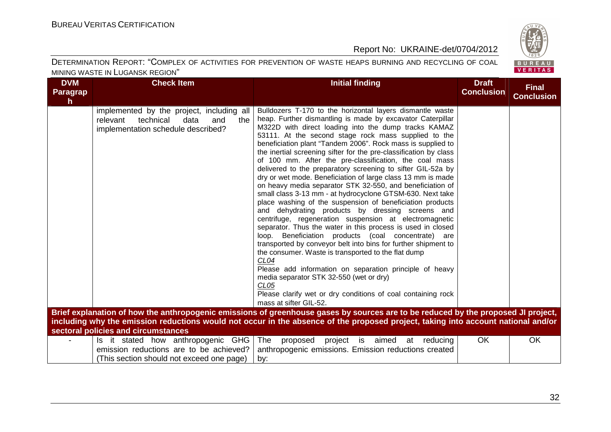

| <b>DVM</b><br><b>Paragrap</b><br>$\mathsf{h}$ | <b>Check Item</b>                                                                                                              | <b>Initial finding</b>                                                                                                                                                                                                                                                                                                                                                                                                                                                                                                                                                                                                                                                                                                                                                                                                                                                                                                                                                                                                                                                                                                                                                                                                                                                                                                                                          | <b>Draft</b><br><b>Conclusion</b> | <b>Final</b><br><b>Conclusion</b> |
|-----------------------------------------------|--------------------------------------------------------------------------------------------------------------------------------|-----------------------------------------------------------------------------------------------------------------------------------------------------------------------------------------------------------------------------------------------------------------------------------------------------------------------------------------------------------------------------------------------------------------------------------------------------------------------------------------------------------------------------------------------------------------------------------------------------------------------------------------------------------------------------------------------------------------------------------------------------------------------------------------------------------------------------------------------------------------------------------------------------------------------------------------------------------------------------------------------------------------------------------------------------------------------------------------------------------------------------------------------------------------------------------------------------------------------------------------------------------------------------------------------------------------------------------------------------------------|-----------------------------------|-----------------------------------|
|                                               | implemented by the project, including all<br>relevant<br>technical<br>data<br>and<br>the<br>implementation schedule described? | Bulldozers T-170 to the horizontal layers dismantle waste<br>heap. Further dismantling is made by excavator Caterpillar<br>M322D with direct loading into the dump tracks KAMAZ<br>53111. At the second stage rock mass supplied to the<br>beneficiation plant "Tandem 2006". Rock mass is supplied to<br>the inertial screening sifter for the pre-classification by class<br>of 100 mm. After the pre-classification, the coal mass<br>delivered to the preparatory screening to sifter GIL-52a by<br>dry or wet mode. Beneficiation of large class 13 mm is made<br>on heavy media separator STK 32-550, and beneficiation of<br>small class 3-13 mm - at hydrocyclone GTSM-630. Next take<br>place washing of the suspension of beneficiation products<br>and dehydrating products by dressing screens and<br>centrifuge, regeneration suspension at electromagnetic<br>separator. Thus the water in this process is used in closed<br>loop. Beneficiation products (coal concentrate) are<br>transported by conveyor belt into bins for further shipment to<br>the consumer. Waste is transported to the flat dump<br>CL <sub>04</sub><br>Please add information on separation principle of heavy<br>media separator STK 32-550 (wet or dry)<br>CL <sub>05</sub><br>Please clarify wet or dry conditions of coal containing rock<br>mass at sifter GIL-52. |                                   |                                   |
|                                               | sectoral policies and circumstances                                                                                            | Brief explanation of how the anthropogenic emissions of greenhouse gases by sources are to be reduced by the proposed JI project,<br>including why the emission reductions would not occur in the absence of the proposed project, taking into account national and/or                                                                                                                                                                                                                                                                                                                                                                                                                                                                                                                                                                                                                                                                                                                                                                                                                                                                                                                                                                                                                                                                                          |                                   |                                   |
|                                               | Is it stated how anthropogenic GHG<br>emission reductions are to be achieved?<br>(This section should not exceed one page)     | The<br>is aimed<br>proposed<br>project<br>at<br>reducing<br>anthropogenic emissions. Emission reductions created<br>by:                                                                                                                                                                                                                                                                                                                                                                                                                                                                                                                                                                                                                                                                                                                                                                                                                                                                                                                                                                                                                                                                                                                                                                                                                                         | <b>OK</b>                         | OK                                |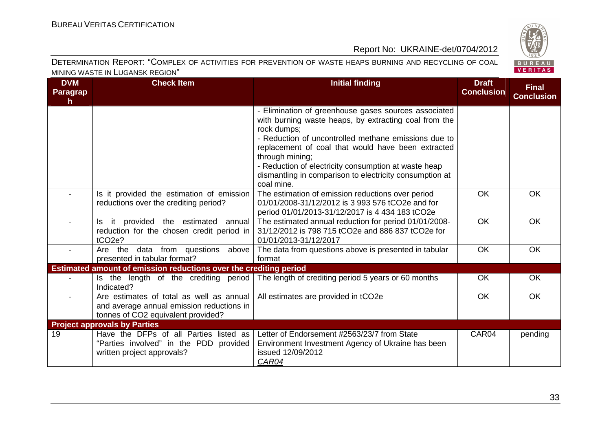

| <b>DVM</b><br><b>Paragrap</b><br>$\mathsf{h}$ | <b>Check Item</b>                                                                                                           | <b>Initial finding</b>                                                                                                                                                                                                                                                                                                                                                                         | <b>Draft</b><br><b>Conclusion</b> | <b>Final</b><br><b>Conclusion</b> |
|-----------------------------------------------|-----------------------------------------------------------------------------------------------------------------------------|------------------------------------------------------------------------------------------------------------------------------------------------------------------------------------------------------------------------------------------------------------------------------------------------------------------------------------------------------------------------------------------------|-----------------------------------|-----------------------------------|
|                                               |                                                                                                                             | - Elimination of greenhouse gases sources associated<br>with burning waste heaps, by extracting coal from the<br>rock dumps;<br>- Reduction of uncontrolled methane emissions due to<br>replacement of coal that would have been extracted<br>through mining;<br>- Reduction of electricity consumption at waste heap<br>dismantling in comparison to electricity consumption at<br>coal mine. |                                   |                                   |
|                                               | Is it provided the estimation of emission<br>reductions over the crediting period?                                          | The estimation of emission reductions over period<br>01/01/2008-31/12/2012 is 3 993 576 tCO2e and for<br>period 01/01/2013-31/12/2017 is 4 434 183 tCO2e                                                                                                                                                                                                                                       | <b>OK</b>                         | <b>OK</b>                         |
|                                               | Is it provided the estimated annual<br>reduction for the chosen credit period in<br>tCO <sub>2e</sub> ?                     | The estimated annual reduction for period 01/01/2008-<br>31/12/2012 is 798 715 tCO2e and 886 837 tCO2e for<br>01/01/2013-31/12/2017                                                                                                                                                                                                                                                            | <b>OK</b>                         | <b>OK</b>                         |
| $\blacksquare$                                | Are the data from questions above<br>presented in tabular format?                                                           | The data from questions above is presented in tabular<br>format                                                                                                                                                                                                                                                                                                                                | OK                                | <b>OK</b>                         |
|                                               | Estimated amount of emission reductions over the crediting period                                                           |                                                                                                                                                                                                                                                                                                                                                                                                |                                   |                                   |
|                                               | Is the length of the crediting period<br>Indicated?                                                                         | The length of crediting period 5 years or 60 months                                                                                                                                                                                                                                                                                                                                            | <b>OK</b>                         | <b>OK</b>                         |
|                                               | Are estimates of total as well as annual<br>and average annual emission reductions in<br>tonnes of CO2 equivalent provided? | All estimates are provided in tCO2e                                                                                                                                                                                                                                                                                                                                                            | OK                                | <b>OK</b>                         |
|                                               | <b>Project approvals by Parties</b>                                                                                         |                                                                                                                                                                                                                                                                                                                                                                                                |                                   |                                   |
| 19                                            | Have the DFPs of all Parties listed as<br>"Parties involved" in the PDD provided<br>written project approvals?              | Letter of Endorsement #2563/23/7 from State<br>Environment Investment Agency of Ukraine has been<br>issued 12/09/2012<br>CAR04                                                                                                                                                                                                                                                                 | CAR04                             | pending                           |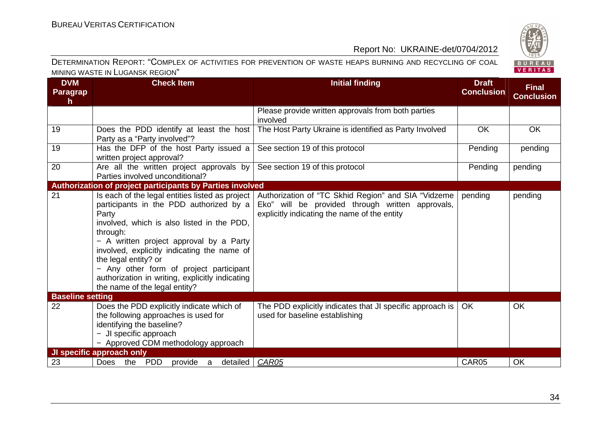

| <b>DVM</b><br><b>Paragrap</b><br>$\mathsf{h}$ | <b>Check Item</b>                                                                                                                                                                                                                                                                                                                                                                                              | <b>Initial finding</b>                                                                                                                                  | <b>Draft</b><br><b>Conclusion</b> | <b>Final</b><br><b>Conclusion</b> |
|-----------------------------------------------|----------------------------------------------------------------------------------------------------------------------------------------------------------------------------------------------------------------------------------------------------------------------------------------------------------------------------------------------------------------------------------------------------------------|---------------------------------------------------------------------------------------------------------------------------------------------------------|-----------------------------------|-----------------------------------|
|                                               |                                                                                                                                                                                                                                                                                                                                                                                                                | Please provide written approvals from both parties<br>involved                                                                                          |                                   |                                   |
| 19                                            | Does the PDD identify at least the host<br>Party as a "Party involved"?                                                                                                                                                                                                                                                                                                                                        | The Host Party Ukraine is identified as Party Involved                                                                                                  | OK                                | OK                                |
| 19                                            | Has the DFP of the host Party issued a<br>written project approval?                                                                                                                                                                                                                                                                                                                                            | See section 19 of this protocol                                                                                                                         | Pending                           | pending                           |
| 20                                            | Are all the written project approvals by<br>Parties involved unconditional?                                                                                                                                                                                                                                                                                                                                    | See section 19 of this protocol                                                                                                                         | Pending                           | pending                           |
|                                               | Authorization of project participants by Parties involved                                                                                                                                                                                                                                                                                                                                                      |                                                                                                                                                         |                                   |                                   |
| 21                                            | Is each of the legal entities listed as project<br>participants in the PDD authorized by a<br>Party<br>involved, which is also listed in the PDD,<br>through:<br>- A written project approval by a Party<br>involved, explicitly indicating the name of<br>the legal entity? or<br>- Any other form of project participant<br>authorization in writing, explicitly indicating<br>the name of the legal entity? | Authorization of "TC Skhid Region" and SIA "Vidzeme<br>Eko" will be provided through written approvals,<br>explicitly indicating the name of the entity | pending                           | pending                           |
| <b>Baseline setting</b>                       |                                                                                                                                                                                                                                                                                                                                                                                                                |                                                                                                                                                         |                                   |                                   |
| 22                                            | Does the PDD explicitly indicate which of<br>the following approaches is used for<br>identifying the baseline?<br>- JI specific approach<br>- Approved CDM methodology approach                                                                                                                                                                                                                                | The PDD explicitly indicates that JI specific approach is<br>used for baseline establishing                                                             | OK                                | OK                                |
|                                               | <b>JI specific approach only</b>                                                                                                                                                                                                                                                                                                                                                                               |                                                                                                                                                         |                                   |                                   |
| 23                                            | <b>PDD</b><br>detailed<br><b>Does</b><br>the<br>provide<br>a                                                                                                                                                                                                                                                                                                                                                   | CAR05                                                                                                                                                   | CAR05                             | OK                                |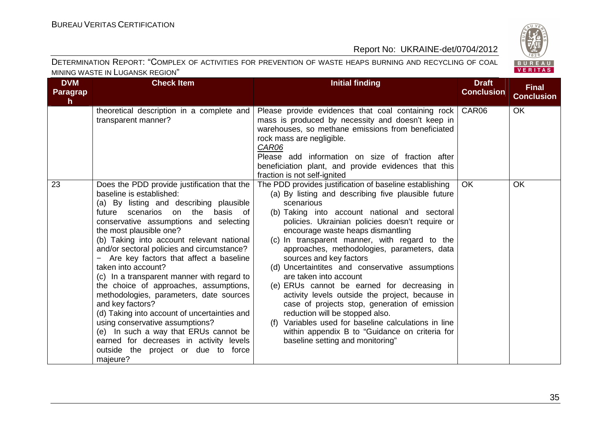

| <b>DVM</b><br>Paragrap<br>h. | <b>Check Item</b>                                                                                                                                                                                                                                                                                                                                                                                                                                                                                                                                                                                                                                                                                                                                                           | <b>Initial finding</b>                                                                                                                                                                                                                                                                                                                                                                                                                                                                                                                                                                                                                                                                                                                                                                                            | <b>Draft</b><br><b>Conclusion</b> | <b>Final</b><br><b>Conclusion</b> |
|------------------------------|-----------------------------------------------------------------------------------------------------------------------------------------------------------------------------------------------------------------------------------------------------------------------------------------------------------------------------------------------------------------------------------------------------------------------------------------------------------------------------------------------------------------------------------------------------------------------------------------------------------------------------------------------------------------------------------------------------------------------------------------------------------------------------|-------------------------------------------------------------------------------------------------------------------------------------------------------------------------------------------------------------------------------------------------------------------------------------------------------------------------------------------------------------------------------------------------------------------------------------------------------------------------------------------------------------------------------------------------------------------------------------------------------------------------------------------------------------------------------------------------------------------------------------------------------------------------------------------------------------------|-----------------------------------|-----------------------------------|
|                              | theoretical description in a complete and<br>transparent manner?                                                                                                                                                                                                                                                                                                                                                                                                                                                                                                                                                                                                                                                                                                            | Please provide evidences that coal containing rock   CAR06<br>mass is produced by necessity and doesn't keep in<br>warehouses, so methane emissions from beneficiated<br>rock mass are negligible.<br>CAR06<br>Please add information on size of fraction after<br>beneficiation plant, and provide evidences that this<br>fraction is not self-ignited                                                                                                                                                                                                                                                                                                                                                                                                                                                           |                                   | <b>OK</b>                         |
| 23                           | Does the PDD provide justification that the<br>baseline is established:<br>(a) By listing and describing plausible<br>future scenarios on the<br>basis of<br>conservative assumptions and selecting<br>the most plausible one?<br>(b) Taking into account relevant national<br>and/or sectoral policies and circumstance?<br>Are key factors that affect a baseline<br>taken into account?<br>(c) In a transparent manner with regard to<br>the choice of approaches, assumptions,<br>methodologies, parameters, date sources<br>and key factors?<br>(d) Taking into account of uncertainties and<br>using conservative assumptions?<br>(e) In such a way that ERUs cannot be<br>earned for decreases in activity levels<br>outside the project or due to force<br>majeure? | The PDD provides justification of baseline establishing<br>(a) By listing and describing five plausible future<br>scenarious<br>(b) Taking into account national and sectoral<br>policies. Ukrainian policies doesn't require or<br>encourage waste heaps dismantling<br>(c) In transparent manner, with regard to the<br>approaches, methodologies, parameters, data<br>sources and key factors<br>(d) Uncertaintites and conservative assumptions<br>are taken into account<br>(e) ERUs cannot be earned for decreasing in<br>activity levels outside the project, because in<br>case of projects stop, generation of emission<br>reduction will be stopped also.<br>(f) Variables used for baseline calculations in line<br>within appendix B to "Guidance on criteria for<br>baseline setting and monitoring" | <b>OK</b>                         | <b>OK</b>                         |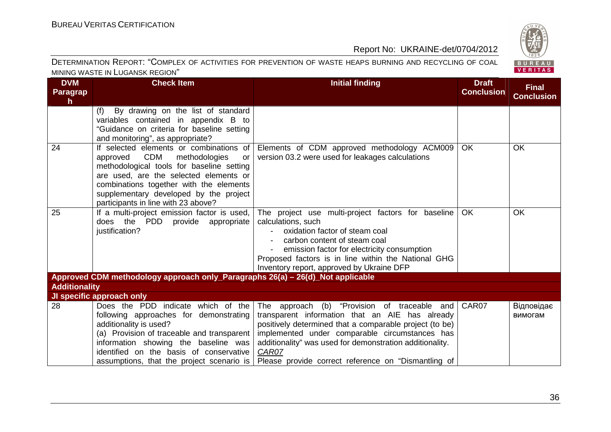

| <b>DVM</b><br><b>Paragrap</b><br>h | <b>Check Item</b>                                                                                                                                                                                                                                                                                 | <b>Initial finding</b>                                                                                                                                                                                                                                                                                                                   | <b>Draft</b><br><b>Conclusion</b> | <b>Final</b><br><b>Conclusion</b> |
|------------------------------------|---------------------------------------------------------------------------------------------------------------------------------------------------------------------------------------------------------------------------------------------------------------------------------------------------|------------------------------------------------------------------------------------------------------------------------------------------------------------------------------------------------------------------------------------------------------------------------------------------------------------------------------------------|-----------------------------------|-----------------------------------|
|                                    | By drawing on the list of standard<br>(f)<br>variables contained in appendix B to                                                                                                                                                                                                                 |                                                                                                                                                                                                                                                                                                                                          |                                   |                                   |
|                                    | "Guidance on criteria for baseline setting<br>and monitoring", as appropriate?                                                                                                                                                                                                                    |                                                                                                                                                                                                                                                                                                                                          |                                   |                                   |
| 24                                 | If selected elements or combinations of<br>approved CDM<br>methodologies<br>or<br>methodological tools for baseline setting<br>are used, are the selected elements or<br>combinations together with the elements<br>supplementary developed by the project<br>participants in line with 23 above? | Elements of CDM approved methodology ACM009<br>version 03.2 were used for leakages calculations                                                                                                                                                                                                                                          | <b>OK</b>                         | <b>OK</b>                         |
| 25                                 | If a multi-project emission factor is used,<br>does the PDD provide appropriate<br>justification?                                                                                                                                                                                                 | The project use multi-project factors for baseline<br>calculations, such<br>oxidation factor of steam coal<br>carbon content of steam coal<br>emission factor for electricity consumption<br>Proposed factors is in line within the National GHG<br>Inventory report, approved by Ukraine DFP                                            | OK                                | <b>OK</b>                         |
|                                    | Approved CDM methodology approach only_Paragraphs 26(a) - 26(d)_Not applicable                                                                                                                                                                                                                    |                                                                                                                                                                                                                                                                                                                                          |                                   |                                   |
| <b>Additionality</b>               | JI specific approach only                                                                                                                                                                                                                                                                         |                                                                                                                                                                                                                                                                                                                                          |                                   |                                   |
| 28                                 | Does the PDD indicate which of the<br>following approaches for demonstrating<br>additionality is used?<br>(a) Provision of traceable and transparent<br>information showing the baseline was<br>identified on the basis of conservative<br>assumptions, that the project scenario is              | The approach (b) "Provision of traceable and<br>transparent information that an AIE has already<br>positively determined that a comparable project (to be)<br>implemented under comparable circumstances has<br>additionality" was used for demonstration additionality.<br>CAR07<br>Please provide correct reference on "Dismantling of | CAR07                             | Відповідає<br>вимогам             |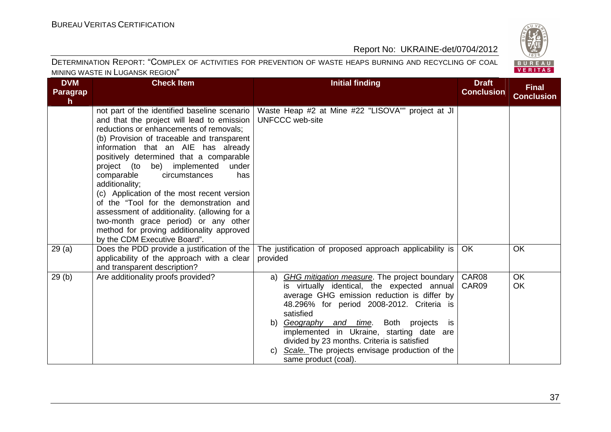

| <b>DVM</b><br>Paragrap<br>h. | <b>Check Item</b>                                                                                                                                                                                                                                                                                                                                                                                                                                                                                                                                                                                                                  | <b>Initial finding</b>                                                                                                                                                                                                                                                                                                                                                                                                                | <b>Draft</b><br><b>Conclusion</b> | <b>Final</b><br><b>Conclusion</b> |
|------------------------------|------------------------------------------------------------------------------------------------------------------------------------------------------------------------------------------------------------------------------------------------------------------------------------------------------------------------------------------------------------------------------------------------------------------------------------------------------------------------------------------------------------------------------------------------------------------------------------------------------------------------------------|---------------------------------------------------------------------------------------------------------------------------------------------------------------------------------------------------------------------------------------------------------------------------------------------------------------------------------------------------------------------------------------------------------------------------------------|-----------------------------------|-----------------------------------|
|                              | not part of the identified baseline scenario<br>and that the project will lead to emission<br>reductions or enhancements of removals;<br>(b) Provision of traceable and transparent<br>information that an AIE has already<br>positively determined that a comparable<br>project (to be) implemented<br>under<br>comparable<br>circumstances<br>has<br>additionality;<br>(c) Application of the most recent version<br>of the "Tool for the demonstration and<br>assessment of additionality. (allowing for a<br>two-month grace period) or any other<br>method for proving additionality approved<br>by the CDM Executive Board". | Waste Heap #2 at Mine #22 "LISOVA"" project at JI<br><b>UNFCCC</b> web-site                                                                                                                                                                                                                                                                                                                                                           |                                   |                                   |
| 29(a)                        | Does the PDD provide a justification of the $ $<br>applicability of the approach with a clear<br>and transparent description?                                                                                                                                                                                                                                                                                                                                                                                                                                                                                                      | The justification of proposed approach applicability is<br>provided                                                                                                                                                                                                                                                                                                                                                                   | <b>OK</b>                         | <b>OK</b>                         |
| 29(b)                        | Are additionality proofs provided?                                                                                                                                                                                                                                                                                                                                                                                                                                                                                                                                                                                                 | GHG mitigation measure. The project boundary<br>a)<br>is virtually identical, the expected annual<br>average GHG emission reduction is differ by<br>48.296% for period 2008-2012. Criteria is<br>satisfied<br>Both<br>b) Geography and time.<br>projects<br>is.<br>implemented in Ukraine, starting date are<br>divided by 23 months. Criteria is satisfied<br>Scale. The projects envisage production of the<br>same product (coal). | CAR08<br>CAR09                    | <b>OK</b><br>OK                   |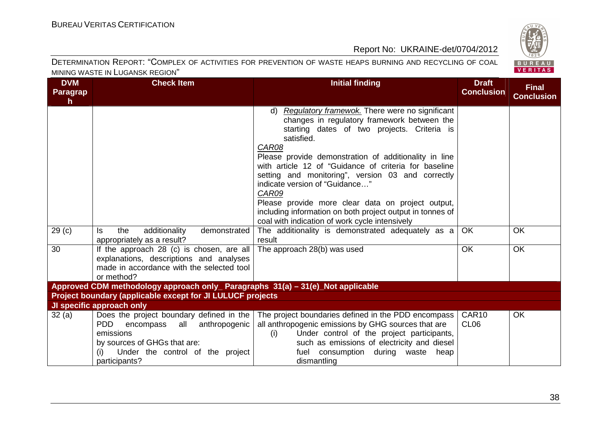

| <b>DVM</b><br><b>Paragrap</b><br>$\mathsf{h}$ | <b>Check Item</b>                                                                                                                                                                   | <b>Initial finding</b>                                                                                                                                                                                                                                                                                                                                                                                                                                                                                                                                          | <b>Draft</b><br><b>Conclusion</b>     | <b>Final</b><br><b>Conclusion</b> |
|-----------------------------------------------|-------------------------------------------------------------------------------------------------------------------------------------------------------------------------------------|-----------------------------------------------------------------------------------------------------------------------------------------------------------------------------------------------------------------------------------------------------------------------------------------------------------------------------------------------------------------------------------------------------------------------------------------------------------------------------------------------------------------------------------------------------------------|---------------------------------------|-----------------------------------|
|                                               |                                                                                                                                                                                     | Regulatory framewok. There were no significant<br>d)<br>changes in regulatory framework between the<br>starting dates of two projects. Criteria is<br>satisfied.<br>CAR08<br>Please provide demonstration of additionality in line<br>with article 12 of "Guidance of criteria for baseline<br>setting and monitoring", version 03 and correctly<br>indicate version of "Guidance"<br>CAR09<br>Please provide more clear data on project output,<br>including information on both project output in tonnes of<br>coal with indication of work cycle intensively |                                       |                                   |
| 29 <sub>(c)</sub>                             | additionality<br>demonstrated<br>ls.<br>the<br>appropriately as a result?                                                                                                           | The additionality is demonstrated adequately as a<br>result                                                                                                                                                                                                                                                                                                                                                                                                                                                                                                     | <b>OK</b>                             | <b>OK</b>                         |
| 30                                            | If the approach 28 (c) is chosen, are all<br>explanations, descriptions and analyses<br>made in accordance with the selected tool<br>or method?                                     | The approach 28(b) was used                                                                                                                                                                                                                                                                                                                                                                                                                                                                                                                                     | OK                                    | OK                                |
|                                               | Approved CDM methodology approach only_ Paragraphs 31(a) - 31(e)_Not applicable                                                                                                     |                                                                                                                                                                                                                                                                                                                                                                                                                                                                                                                                                                 |                                       |                                   |
|                                               | Project boundary (applicable except for JI LULUCF projects                                                                                                                          |                                                                                                                                                                                                                                                                                                                                                                                                                                                                                                                                                                 |                                       |                                   |
|                                               | JI specific approach only                                                                                                                                                           |                                                                                                                                                                                                                                                                                                                                                                                                                                                                                                                                                                 |                                       |                                   |
| 32(a)                                         | Does the project boundary defined in the<br>PDD<br>all anthropogenic<br>encompass<br>emissions<br>by sources of GHGs that are:<br>Under the control of the project<br>participants? | The project boundaries defined in the PDD encompass  <br>all anthropogenic emissions by GHG sources that are<br>Under control of the project participants,<br>(i)<br>such as emissions of electricity and diesel<br>fuel consumption during waste<br>heap<br>dismantling                                                                                                                                                                                                                                                                                        | CAR <sub>10</sub><br>CL <sub>06</sub> | <b>OK</b>                         |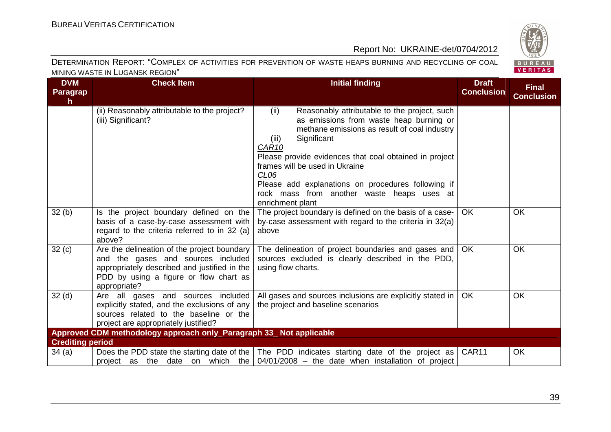

| <b>DVM</b><br><b>Paragrap</b><br>$\mathsf{h}$ | <b>Check Item</b>                                                                                                                                                                           | <b>Initial finding</b>                                                                                                                                                                                                                                                                                                                                                                                                               | <b>Draft</b><br><b>Conclusion</b> | <b>Final</b><br><b>Conclusion</b> |
|-----------------------------------------------|---------------------------------------------------------------------------------------------------------------------------------------------------------------------------------------------|--------------------------------------------------------------------------------------------------------------------------------------------------------------------------------------------------------------------------------------------------------------------------------------------------------------------------------------------------------------------------------------------------------------------------------------|-----------------------------------|-----------------------------------|
|                                               | (ii) Reasonably attributable to the project?<br>(iii) Significant?                                                                                                                          | (ii)<br>Reasonably attributable to the project, such<br>as emissions from waste heap burning or<br>methane emissions as result of coal industry<br>Significant<br>(iii)<br>CAR <sub>10</sub><br>Please provide evidences that coal obtained in project<br>frames will be used in Ukraine<br>CL <sub>06</sub><br>Please add explanations on procedures following if<br>rock mass from another waste heaps uses at<br>enrichment plant |                                   |                                   |
| 32(b)                                         | Is the project boundary defined on the<br>basis of a case-by-case assessment with<br>regard to the criteria referred to in 32 (a)<br>above?                                                 | The project boundary is defined on the basis of a case-<br>by-case assessment with regard to the criteria in 32(a)<br>above                                                                                                                                                                                                                                                                                                          | <b>OK</b>                         | <b>OK</b>                         |
| 32(c)                                         | Are the delineation of the project boundary<br>and the gases and sources included<br>appropriately described and justified in the<br>PDD by using a figure or flow chart as<br>appropriate? | The delineation of project boundaries and gases and<br>sources excluded is clearly described in the PDD,<br>using flow charts.                                                                                                                                                                                                                                                                                                       | OK.                               | OK                                |
| 32 <sub>(d)</sub>                             | Are all gases and sources included<br>explicitly stated, and the exclusions of any<br>sources related to the baseline or the<br>project are appropriately justified?                        | All gases and sources inclusions are explicitly stated in<br>the project and baseline scenarios                                                                                                                                                                                                                                                                                                                                      | <b>OK</b>                         | <b>OK</b>                         |
|                                               | Approved CDM methodology approach only_Paragraph 33_ Not applicable                                                                                                                         |                                                                                                                                                                                                                                                                                                                                                                                                                                      |                                   |                                   |
| <b>Crediting period</b>                       |                                                                                                                                                                                             |                                                                                                                                                                                                                                                                                                                                                                                                                                      |                                   |                                   |
| 34(a)                                         | project as the date on which the                                                                                                                                                            | Does the PDD state the starting date of the $\vert$ The PDD indicates starting date of the project as $\vert$<br>$04/01/2008$ – the date when installation of project                                                                                                                                                                                                                                                                | CAR11                             | OK                                |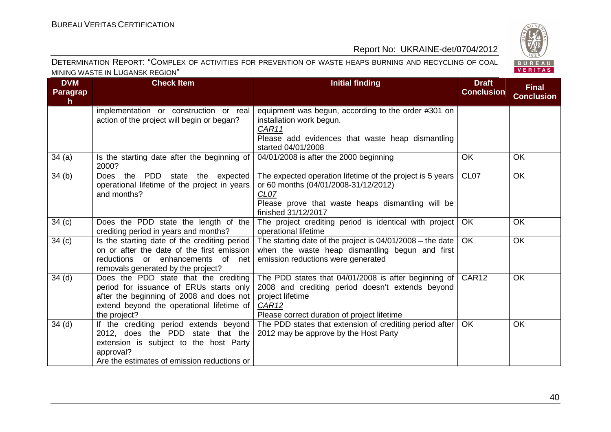

| <b>DVM</b><br><b>Paragrap</b><br>h. | <b>Check Item</b>                                                                                                                                                                         | <b>Initial finding</b>                                                                                                                                                                            | <b>Draft</b><br><b>Conclusion</b> | <b>Final</b><br><b>Conclusion</b> |
|-------------------------------------|-------------------------------------------------------------------------------------------------------------------------------------------------------------------------------------------|---------------------------------------------------------------------------------------------------------------------------------------------------------------------------------------------------|-----------------------------------|-----------------------------------|
|                                     | implementation or construction or real<br>action of the project will begin or began?                                                                                                      | equipment was begun, according to the order #301 on<br>installation work begun.<br>CAR11<br>Please add evidences that waste heap dismantling<br>started 04/01/2008                                |                                   |                                   |
| 34(a)                               | Is the starting date after the beginning of<br>2000?                                                                                                                                      | 04/01/2008 is after the 2000 beginning                                                                                                                                                            | <b>OK</b>                         | OK                                |
| 34(b)                               | PDD<br>Does the<br>state the expected<br>operational lifetime of the project in years<br>and months?                                                                                      | The expected operation lifetime of the project is 5 years<br>or 60 months (04/01/2008-31/12/2012)<br>CL <sub>07</sub><br>Please prove that waste heaps dismantling will be<br>finished 31/12/2017 | CL <sub>07</sub>                  | OK                                |
| 34(c)                               | Does the PDD state the length of the<br>crediting period in years and months?                                                                                                             | The project crediting period is identical with project<br>operational lifetime                                                                                                                    | OK                                | OK                                |
| 34(c)                               | Is the starting date of the crediting period<br>on or after the date of the first emission<br>reductions or enhancements of net<br>removals generated by the project?                     | The starting date of the project is $04/01/2008$ – the date<br>when the waste heap dismantling begun and first<br>emission reductions were generated                                              | <b>OK</b>                         | OK                                |
| 34 <sub>(d)</sub>                   | Does the PDD state that the crediting<br>period for issuance of ERUs starts only<br>after the beginning of 2008 and does not<br>extend beyond the operational lifetime of<br>the project? | The PDD states that 04/01/2008 is after beginning of<br>2008 and crediting period doesn't extends beyond<br>project lifetime<br>CAR <sub>12</sub><br>Please correct duration of project lifetime  | CAR12                             | OK                                |
| 34 <sub>(d)</sub>                   | If the crediting period extends beyond<br>2012, does the PDD state that the<br>extension is subject to the host Party<br>approval?<br>Are the estimates of emission reductions or         | The PDD states that extension of crediting period after<br>2012 may be approve by the Host Party                                                                                                  | OK                                | OK                                |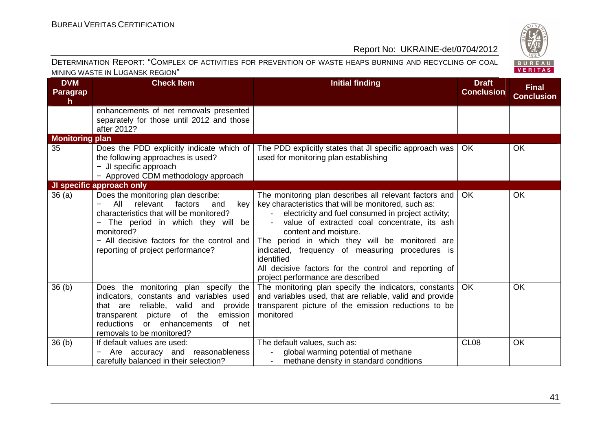

| <b>DVM</b><br><b>Paragrap</b><br>$\mathsf{h}$ | <b>Check Item</b>                                                                                                                                                                                                                                              | <b>Initial finding</b>                                                                                                                                                                                                                                                                                                                                                                                                                                         | <b>Draft</b><br><b>Conclusion</b> | <b>Final</b><br><b>Conclusion</b> |
|-----------------------------------------------|----------------------------------------------------------------------------------------------------------------------------------------------------------------------------------------------------------------------------------------------------------------|----------------------------------------------------------------------------------------------------------------------------------------------------------------------------------------------------------------------------------------------------------------------------------------------------------------------------------------------------------------------------------------------------------------------------------------------------------------|-----------------------------------|-----------------------------------|
|                                               | enhancements of net removals presented<br>separately for those until 2012 and those<br>after 2012?                                                                                                                                                             |                                                                                                                                                                                                                                                                                                                                                                                                                                                                |                                   |                                   |
| <b>Monitoring plan</b>                        |                                                                                                                                                                                                                                                                |                                                                                                                                                                                                                                                                                                                                                                                                                                                                |                                   |                                   |
| 35                                            | Does the PDD explicitly indicate which of<br>the following approaches is used?<br>- JI specific approach<br>- Approved CDM methodology approach                                                                                                                | The PDD explicitly states that JI specific approach was<br>used for monitoring plan establishing                                                                                                                                                                                                                                                                                                                                                               | <b>OK</b>                         | <b>OK</b>                         |
|                                               | JI specific approach only                                                                                                                                                                                                                                      |                                                                                                                                                                                                                                                                                                                                                                                                                                                                |                                   |                                   |
| 36(a)                                         | Does the monitoring plan describe:<br>All<br>relevant<br>factors<br>and<br>key<br>characteristics that will be monitored?<br>The period in which they will be<br>monitored?<br>- All decisive factors for the control and<br>reporting of project performance? | The monitoring plan describes all relevant factors and<br>key characteristics that will be monitored, such as:<br>electricity and fuel consumed in project activity;<br>value of extracted coal concentrate, its ash<br>content and moisture.<br>The period in which they will be monitored are<br>indicated, frequency of measuring procedures is<br>identified<br>All decisive factors for the control and reporting of<br>project performance are described | <b>OK</b>                         | OK                                |
| 36(b)                                         | Does the monitoring plan specify the<br>indicators, constants and variables used<br>that are reliable, valid<br>and provide<br>transparent picture of the<br>emission<br>or enhancements<br>of net<br>reductions<br>removals to be monitored?                  | The monitoring plan specify the indicators, constants<br>and variables used, that are reliable, valid and provide<br>transparent picture of the emission reductions to be<br>monitored                                                                                                                                                                                                                                                                         | <b>OK</b>                         | OK                                |
| 36(b)                                         | If default values are used:<br>Are accuracy and reasonableness<br>carefully balanced in their selection?                                                                                                                                                       | The default values, such as:<br>global warming potential of methane<br>methane density in standard conditions                                                                                                                                                                                                                                                                                                                                                  | CL <sub>08</sub>                  | OK                                |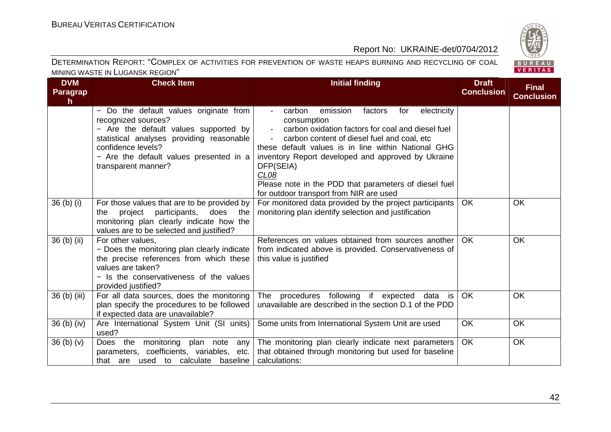

| <b>DVM</b><br>Paragrap<br>$\mathsf{h}$ | <b>Check Item</b>                                                                                                                                                                                                                           | <b>Initial finding</b>                                                                                                                                                                                                                                                                                                                                                                                                                                         | <b>Draft</b><br><b>Conclusion</b> | <b>Final</b><br><b>Conclusion</b> |
|----------------------------------------|---------------------------------------------------------------------------------------------------------------------------------------------------------------------------------------------------------------------------------------------|----------------------------------------------------------------------------------------------------------------------------------------------------------------------------------------------------------------------------------------------------------------------------------------------------------------------------------------------------------------------------------------------------------------------------------------------------------------|-----------------------------------|-----------------------------------|
|                                        | - Do the default values originate from<br>recognized sources?<br>- Are the default values supported by<br>statistical analyses providing reasonable<br>confidence levels?<br>- Are the default values presented in a<br>transparent manner? | emission<br>carbon<br>factors<br>for<br>electricity<br>$\sim 100$<br>consumption<br>carbon oxidation factors for coal and diesel fuel<br>$\sim$<br>carbon content of diesel fuel and coal, etc<br>$\sim 100$<br>these default values is in line within National GHG<br>inventory Report developed and approved by Ukraine<br>DFP(SEIA)<br>CL <sub>08</sub><br>Please note in the PDD that parameters of diesel fuel<br>for outdoor transport from NIR are used |                                   |                                   |
| 36 <sub>(b)</sub> <sub>(i)</sub>       | For those values that are to be provided by<br>project<br>participants, does the<br>the<br>monitoring plan clearly indicate how the<br>values are to be selected and justified?                                                             | For monitored data provided by the project participants<br>monitoring plan identify selection and justification                                                                                                                                                                                                                                                                                                                                                | <b>OK</b>                         | <b>OK</b>                         |
| 36 (b) (ii)                            | For other values,<br>- Does the monitoring plan clearly indicate<br>the precise references from which these<br>values are taken?<br>- Is the conservativeness of the values<br>provided justified?                                          | References on values obtained from sources another<br>from indicated above is provided. Conservativeness of<br>this value is justified                                                                                                                                                                                                                                                                                                                         | <b>OK</b>                         | <b>OK</b>                         |
| 36 (b) (iii)                           | For all data sources, does the monitoring<br>plan specify the procedures to be followed<br>if expected data are unavailable?                                                                                                                | procedures following if expected<br>The<br>data<br>is<br>unavailable are described in the section D.1 of the PDD                                                                                                                                                                                                                                                                                                                                               | OK                                | <b>OK</b>                         |
| $36$ (b) (iv)                          | Are International System Unit (SI units)<br>used?                                                                                                                                                                                           | Some units from International System Unit are used                                                                                                                                                                                                                                                                                                                                                                                                             | OK                                | <b>OK</b>                         |
| 36 <sub>(b)</sub> <sub>(v)</sub>       | Does the<br>monitoring plan note any<br>parameters, coefficients, variables, etc.<br>that are used to calculate baseline                                                                                                                    | The monitoring plan clearly indicate next parameters<br>that obtained through monitoring but used for baseline<br>calculations:                                                                                                                                                                                                                                                                                                                                | <b>OK</b>                         | OK                                |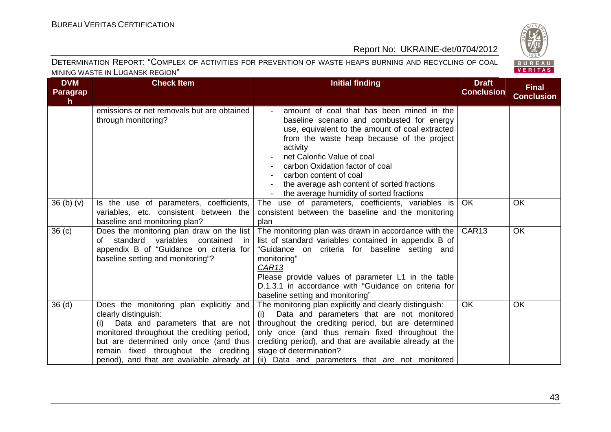

| <b>DVM</b><br><b>Paragrap</b><br>h. | <b>Check Item</b>                                                                                                                                                                                                                                                                         | <b>Initial finding</b>                                                                                                                                                                                                                                                                                                                                                                      | <b>Draft</b><br><b>Conclusion</b> | <b>Final</b><br><b>Conclusion</b> |
|-------------------------------------|-------------------------------------------------------------------------------------------------------------------------------------------------------------------------------------------------------------------------------------------------------------------------------------------|---------------------------------------------------------------------------------------------------------------------------------------------------------------------------------------------------------------------------------------------------------------------------------------------------------------------------------------------------------------------------------------------|-----------------------------------|-----------------------------------|
|                                     | emissions or net removals but are obtained<br>through monitoring?                                                                                                                                                                                                                         | amount of coal that has been mined in the<br>baseline scenario and combusted for energy<br>use, equivalent to the amount of coal extracted<br>from the waste heap because of the project<br>activity<br>net Calorific Value of coal<br>carbon Oxidation factor of coal<br>carbon content of coal<br>the average ash content of sorted fractions<br>the average humidity of sorted fractions |                                   |                                   |
| 36 <sub>(b)</sub> <sub>(v)</sub>    | Is the use of parameters, coefficients,<br>variables, etc. consistent between the<br>baseline and monitoring plan?                                                                                                                                                                        | The use of parameters, coefficients, variables is<br>consistent between the baseline and the monitoring<br>plan                                                                                                                                                                                                                                                                             | <b>OK</b>                         | OK                                |
| 36 <sub>(c)</sub>                   | Does the monitoring plan draw on the list<br>of standard<br>variables<br>contained<br>in<br>appendix B of "Guidance on criteria for<br>baseline setting and monitoring"?                                                                                                                  | The monitoring plan was drawn in accordance with the<br>list of standard variables contained in appendix B of<br>"Guidance on criteria for baseline setting and<br>monitoring"<br>CAR <sub>13</sub><br>Please provide values of parameter L1 in the table<br>D.1.3.1 in accordance with "Guidance on criteria for<br>baseline setting and monitoring"                                       | CAR <sub>13</sub>                 | <b>OK</b>                         |
| 36 <sub>(d)</sub>                   | Does the monitoring plan explicitly and<br>clearly distinguish:<br>Data and parameters that are not<br>(i)<br>monitored throughout the crediting period,<br>but are determined only once (and thus<br>remain fixed throughout the crediting<br>period), and that are available already at | The monitoring plan explicitly and clearly distinguish:<br>Data and parameters that are not monitored<br>(i)<br>throughout the crediting period, but are determined<br>only once (and thus remain fixed throughout the<br>crediting period), and that are available already at the<br>stage of determination?<br>(ii) Data and parameters that are not monitored                            | <b>OK</b>                         | <b>OK</b>                         |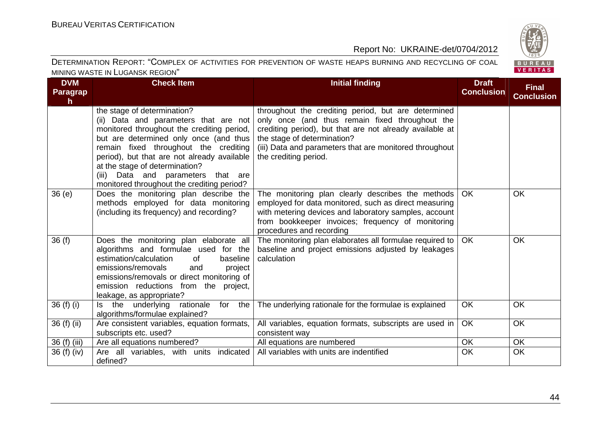

| <b>DVM</b><br><b>Paragrap</b><br>$\mathsf{h}$ | <b>Check Item</b>                                                                                                                                                                                                                                                                                                                                                             | <b>Initial finding</b>                                                                                                                                                                                                                                                                | <b>Draft</b><br><b>Conclusion</b> | <b>Final</b><br><b>Conclusion</b> |
|-----------------------------------------------|-------------------------------------------------------------------------------------------------------------------------------------------------------------------------------------------------------------------------------------------------------------------------------------------------------------------------------------------------------------------------------|---------------------------------------------------------------------------------------------------------------------------------------------------------------------------------------------------------------------------------------------------------------------------------------|-----------------------------------|-----------------------------------|
|                                               | the stage of determination?<br>(ii) Data and parameters that are not<br>monitored throughout the crediting period,<br>but are determined only once (and thus<br>remain fixed throughout the crediting<br>period), but that are not already available<br>at the stage of determination?<br>Data and parameters that are<br>(iii)<br>monitored throughout the crediting period? | throughout the crediting period, but are determined<br>only once (and thus remain fixed throughout the<br>crediting period), but that are not already available at<br>the stage of determination?<br>(iii) Data and parameters that are monitored throughout<br>the crediting period. |                                   |                                   |
| 36(e)                                         | Does the monitoring plan describe the<br>methods employed for data monitoring<br>(including its frequency) and recording?                                                                                                                                                                                                                                                     | The monitoring plan clearly describes the methods<br>employed for data monitored, such as direct measuring<br>with metering devices and laboratory samples, account<br>from bookkeeper invoices; frequency of monitoring<br>procedures and recording                                  | OK                                | OK                                |
| 36(f)                                         | Does the monitoring plan elaborate all<br>algorithms and formulae used for the<br>estimation/calculation<br>0f<br>baseline<br>emissions/removals<br>and<br>project<br>emissions/removals or direct monitoring of<br>emission reductions from the project,<br>leakage, as appropriate?                                                                                         | The monitoring plan elaborates all formulae required to<br>baseline and project emissions adjusted by leakages<br>calculation                                                                                                                                                         | OK                                | OK                                |
| 36 (f) (i)                                    | Is the underlying rationale<br>for<br>the<br>algorithms/formulae explained?                                                                                                                                                                                                                                                                                                   | The underlying rationale for the formulae is explained                                                                                                                                                                                                                                | <b>OK</b>                         | <b>OK</b>                         |
| 36 (f) (ii)                                   | Are consistent variables, equation formats,<br>subscripts etc. used?                                                                                                                                                                                                                                                                                                          | All variables, equation formats, subscripts are used in<br>consistent way                                                                                                                                                                                                             | OK                                | OK                                |
| 36 (f) (iii)                                  | Are all equations numbered?                                                                                                                                                                                                                                                                                                                                                   | All equations are numbered                                                                                                                                                                                                                                                            | OK                                | OK                                |
| 36 (f) (iv)                                   | Are all variables, with units indicated<br>defined?                                                                                                                                                                                                                                                                                                                           | All variables with units are indentified                                                                                                                                                                                                                                              | OK                                | OK                                |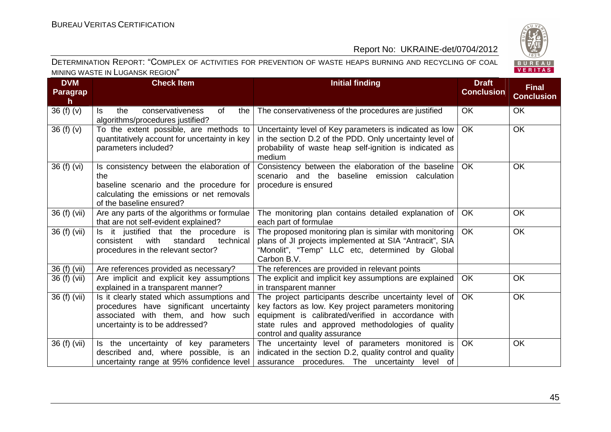

| <b>DVM</b><br><b>Paragrap</b><br>h. | <b>Check Item</b>                                                                                                                                                    | <b>Initial finding</b>                                                                                                                                                                                                                                       | <b>Draft</b><br><b>Conclusion</b> | <b>Final</b><br><b>Conclusion</b> |
|-------------------------------------|----------------------------------------------------------------------------------------------------------------------------------------------------------------------|--------------------------------------------------------------------------------------------------------------------------------------------------------------------------------------------------------------------------------------------------------------|-----------------------------------|-----------------------------------|
| 36(f)(v)                            | the<br>conservativeness<br>of<br>the<br>ls.<br>algorithms/procedures justified?                                                                                      | The conservativeness of the procedures are justified                                                                                                                                                                                                         | <b>OK</b>                         | <b>OK</b>                         |
| 36(f)(v)                            | To the extent possible, are methods to<br>quantitatively account for uncertainty in key<br>parameters included?                                                      | Uncertainty level of Key parameters is indicated as low<br>in the section D.2 of the PDD. Only uncertainty level of<br>probability of waste heap self-ignition is indicated as<br>medium                                                                     | <b>OK</b>                         | <b>OK</b>                         |
| 36 (f) (vi)                         | Is consistency between the elaboration of<br>the<br>baseline scenario and the procedure for<br>calculating the emissions or net removals<br>of the baseline ensured? | Consistency between the elaboration of the baseline<br>scenario and the baseline emission calculation<br>procedure is ensured                                                                                                                                | <b>OK</b>                         | OK                                |
| 36 (f) (vii)                        | Are any parts of the algorithms or formulae<br>that are not self-evident explained?                                                                                  | The monitoring plan contains detailed explanation of<br>each part of formulae                                                                                                                                                                                | <b>OK</b>                         | OK                                |
| 36 (f) (vii)                        | Is it justified that the procedure is<br>with<br>consistent<br>standard<br>technical<br>procedures in the relevant sector?                                           | The proposed monitoring plan is similar with monitoring<br>plans of JI projects implemented at SIA "Antracit", SIA<br>"Monolit", "Temp" LLC etc, determined by Global<br>Carbon B.V.                                                                         | <b>OK</b>                         | <b>OK</b>                         |
| 36 (f) (vii)                        | Are references provided as necessary?                                                                                                                                | The references are provided in relevant points                                                                                                                                                                                                               |                                   |                                   |
| 36 (f) (vii)                        | Are implicit and explicit key assumptions<br>explained in a transparent manner?                                                                                      | The explicit and implicit key assumptions are explained<br>in transparent manner                                                                                                                                                                             | <b>OK</b>                         | <b>OK</b>                         |
| 36 (f) (vii)                        | Is it clearly stated which assumptions and<br>procedures have significant uncertainty<br>associated with them, and how such<br>uncertainty is to be addressed?       | The project participants describe uncertainty level of<br>key factors as low. Key project parameters monitoring<br>equipment is calibrated/verified in accordance with<br>state rules and approved methodologies of quality<br>control and quality assurance | <b>OK</b>                         | <b>OK</b>                         |
| 36 (f) (vii)                        | Is the uncertainty of key parameters<br>described and, where possible, is an<br>uncertainty range at 95% confidence level                                            | The uncertainty level of parameters monitored is<br>indicated in the section D.2, quality control and quality<br>assurance procedures. The uncertainty level of                                                                                              | OK                                | OK                                |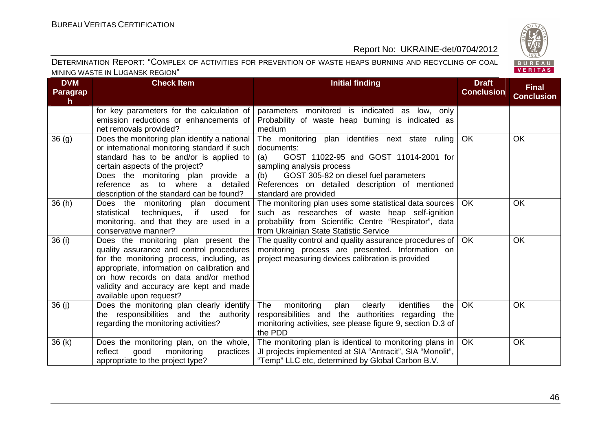

| <b>DVM</b><br><b>Paragrap</b><br>$\mathsf{h}$ | <b>Check Item</b>                                                                                                                                                                                                                                                                                 | <b>Initial finding</b>                                                                                                                                                                                                                                               | <b>Draft</b><br><b>Conclusion</b> | <b>Final</b><br><b>Conclusion</b> |
|-----------------------------------------------|---------------------------------------------------------------------------------------------------------------------------------------------------------------------------------------------------------------------------------------------------------------------------------------------------|----------------------------------------------------------------------------------------------------------------------------------------------------------------------------------------------------------------------------------------------------------------------|-----------------------------------|-----------------------------------|
|                                               | for key parameters for the calculation of<br>emission reductions or enhancements of<br>net removals provided?                                                                                                                                                                                     | parameters monitored is indicated as low, only<br>Probability of waste heap burning is indicated as<br>medium                                                                                                                                                        |                                   |                                   |
| 36(9)                                         | Does the monitoring plan identify a national<br>or international monitoring standard if such<br>standard has to be and/or is applied to<br>certain aspects of the project?<br>Does the monitoring plan provide a<br>reference as to where a detailed<br>description of the standard can be found? | The monitoring plan identifies next state ruling<br>documents:<br>GOST 11022-95 and GOST 11014-2001 for<br>(a)<br>sampling analysis process<br>(b) GOST 305-82 on diesel fuel parameters<br>References on detailed description of mentioned<br>standard are provided | OK                                | <b>OK</b>                         |
| 36(h)                                         | Does the monitoring plan document<br>if<br>statistical<br>techniques,<br>used<br>for<br>monitoring, and that they are used in a<br>conservative manner?                                                                                                                                           | The monitoring plan uses some statistical data sources<br>such as researches of waste heap self-ignition<br>probability from Scientific Centre "Respirator", data<br>from Ukrainian State Statistic Service                                                          | OK.                               | <b>OK</b>                         |
| 36 (i)                                        | Does the monitoring plan present the<br>quality assurance and control procedures<br>for the monitoring process, including, as<br>appropriate, information on calibration and<br>on how records on data and/or method<br>validity and accuracy are kept and made<br>available upon request?        | The quality control and quality assurance procedures of $\vert$ OK<br>monitoring process are presented. Information on<br>project measuring devices calibration is provided                                                                                          |                                   | <b>OK</b>                         |
| 36(j)                                         | Does the monitoring plan clearly identify<br>the responsibilities and the authority<br>regarding the monitoring activities?                                                                                                                                                                       | identifies<br>The<br>monitoring<br>plan<br>clearly<br>the<br>responsibilities and the authorities regarding<br>the<br>monitoring activities, see please figure 9, section D.3 of<br>the PDD                                                                          | <b>OK</b>                         | OK                                |
| 36(k)                                         | Does the monitoring plan, on the whole,<br>reflect<br>good<br>monitoring<br>practices<br>appropriate to the project type?                                                                                                                                                                         | The monitoring plan is identical to monitoring plans in<br>JI projects implemented at SIA "Antracit", SIA "Monolit",<br>"Temp" LLC etc, determined by Global Carbon B.V.                                                                                             | <b>OK</b>                         | <b>OK</b>                         |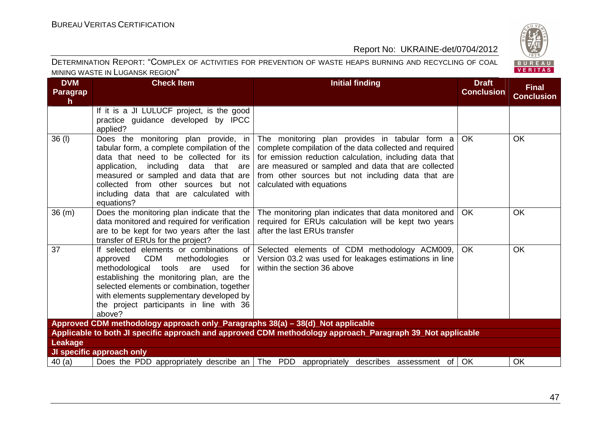

| <b>DVM</b><br>Paragrap<br>h.                                                                                         | <b>Check Item</b>                                                                                                                                                                                                                                                                                                        | <b>Initial finding</b>                                                                                                                                                                                                                                                                                         | <b>Draft</b><br><b>Conclusion</b> | <b>Final</b><br><b>Conclusion</b> |
|----------------------------------------------------------------------------------------------------------------------|--------------------------------------------------------------------------------------------------------------------------------------------------------------------------------------------------------------------------------------------------------------------------------------------------------------------------|----------------------------------------------------------------------------------------------------------------------------------------------------------------------------------------------------------------------------------------------------------------------------------------------------------------|-----------------------------------|-----------------------------------|
|                                                                                                                      | If it is a JI LULUCF project, is the good<br>practice guidance developed by IPCC<br>applied?                                                                                                                                                                                                                             |                                                                                                                                                                                                                                                                                                                |                                   |                                   |
| $36$ (l)                                                                                                             | Does the monitoring plan provide, in<br>tabular form, a complete compilation of the<br>data that need to be collected for its<br>application, including<br>data that are<br>measured or sampled and data that are<br>collected from other sources but not<br>including data that are calculated with<br>equations?       | The monitoring plan provides in tabular form a<br>complete compilation of the data collected and required<br>for emission reduction calculation, including data that<br>are measured or sampled and data that are collected<br>from other sources but not including data that are<br>calculated with equations | <b>OK</b>                         | <b>OK</b>                         |
| 36(m)                                                                                                                | Does the monitoring plan indicate that the<br>data monitored and required for verification<br>are to be kept for two years after the last<br>transfer of ERUs for the project?                                                                                                                                           | The monitoring plan indicates that data monitored and<br>required for ERUs calculation will be kept two years<br>after the last ERUs transfer                                                                                                                                                                  | <b>OK</b>                         | <b>OK</b>                         |
| 37                                                                                                                   | If selected elements or combinations of<br>approved CDM<br>methodologies<br>or I<br>methodological tools<br>for<br>are used<br>establishing the monitoring plan, are the<br>selected elements or combination, together<br>with elements supplementary developed by<br>the project participants in line with 36<br>above? | Selected elements of CDM methodology ACM009,<br>Version 03.2 was used for leakages estimations in line<br>within the section 36 above                                                                                                                                                                          | <b>OK</b>                         | <b>OK</b>                         |
|                                                                                                                      | Approved CDM methodology approach only_Paragraphs 38(a) - 38(d)_Not applicable                                                                                                                                                                                                                                           |                                                                                                                                                                                                                                                                                                                |                                   |                                   |
| Applicable to both JI specific approach and approved CDM methodology approach_Paragraph 39_Not applicable<br>Leakage |                                                                                                                                                                                                                                                                                                                          |                                                                                                                                                                                                                                                                                                                |                                   |                                   |
|                                                                                                                      | JI specific approach only                                                                                                                                                                                                                                                                                                |                                                                                                                                                                                                                                                                                                                |                                   |                                   |
| 40(a)                                                                                                                |                                                                                                                                                                                                                                                                                                                          | Does the PDD appropriately describe an   The PDD appropriately describes assessment of   OK                                                                                                                                                                                                                    |                                   | OK                                |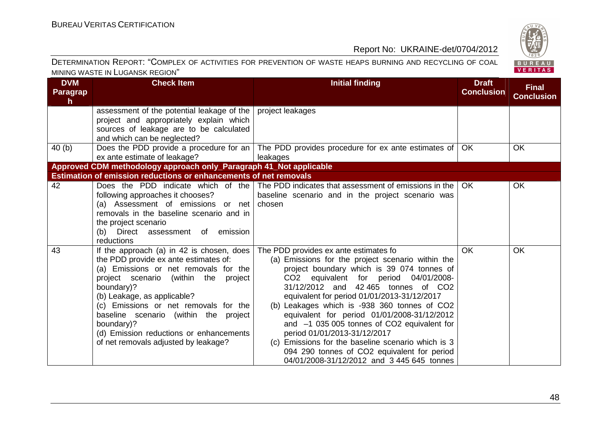

| <b>DVM</b><br><b>Paragrap</b><br>$\mathsf{h}$ | <b>Check Item</b>                                                                                                                                                                                                                                                                                                                                                                                      | <b>Initial finding</b>                                                                                                                                                                                                                                                                                                                                                                                                                                                                                                                                                                                     | <b>Draft</b><br><b>Conclusion</b> | <b>Final</b><br><b>Conclusion</b> |
|-----------------------------------------------|--------------------------------------------------------------------------------------------------------------------------------------------------------------------------------------------------------------------------------------------------------------------------------------------------------------------------------------------------------------------------------------------------------|------------------------------------------------------------------------------------------------------------------------------------------------------------------------------------------------------------------------------------------------------------------------------------------------------------------------------------------------------------------------------------------------------------------------------------------------------------------------------------------------------------------------------------------------------------------------------------------------------------|-----------------------------------|-----------------------------------|
|                                               | assessment of the potential leakage of the<br>project and appropriately explain which<br>sources of leakage are to be calculated<br>and which can be neglected?                                                                                                                                                                                                                                        | project leakages                                                                                                                                                                                                                                                                                                                                                                                                                                                                                                                                                                                           |                                   |                                   |
| 40(b)                                         | Does the PDD provide a procedure for an $\vert$<br>ex ante estimate of leakage?                                                                                                                                                                                                                                                                                                                        | The PDD provides procedure for ex ante estimates of  <br>leakages                                                                                                                                                                                                                                                                                                                                                                                                                                                                                                                                          | <b>OK</b>                         | <b>OK</b>                         |
|                                               | Approved CDM methodology approach only_Paragraph 41_Not applicable<br>Estimation of emission reductions or enhancements of net removals                                                                                                                                                                                                                                                                |                                                                                                                                                                                                                                                                                                                                                                                                                                                                                                                                                                                                            |                                   |                                   |
| 42                                            | Does the PDD indicate which of the<br>following approaches it chooses?<br>(a) Assessment of emissions or net<br>removals in the baseline scenario and in<br>the project scenario<br>(b) Direct assessment of emission<br>reductions                                                                                                                                                                    | The PDD indicates that assessment of emissions in the<br>baseline scenario and in the project scenario was<br>chosen                                                                                                                                                                                                                                                                                                                                                                                                                                                                                       | <b>OK</b>                         | OK                                |
| 43                                            | If the approach (a) in 42 is chosen, does<br>the PDD provide ex ante estimates of:<br>(a) Emissions or net removals for the<br>project scenario (within the<br>project<br>boundary)?<br>(b) Leakage, as applicable?<br>(c) Emissions or net removals for the<br>baseline scenario (within the project<br>boundary)?<br>(d) Emission reductions or enhancements<br>of net removals adjusted by leakage? | The PDD provides ex ante estimates fo<br>(a) Emissions for the project scenario within the<br>project boundary which is 39 074 tonnes of<br>CO2 equivalent for period 04/01/2008-<br>31/12/2012 and 42 465 tonnes of CO2<br>equivalent for period 01/01/2013-31/12/2017<br>(b) Leakages which is -938 360 tonnes of CO2<br>equivalent for period 01/01/2008-31/12/2012<br>and $-1$ 035 005 tonnes of CO2 equivalent for<br>period 01/01/2013-31/12/2017<br>(c) Emissions for the baseline scenario which is 3<br>094 290 tonnes of CO2 equivalent for period<br>04/01/2008-31/12/2012 and 3 445 645 tonnes | <b>OK</b>                         | <b>OK</b>                         |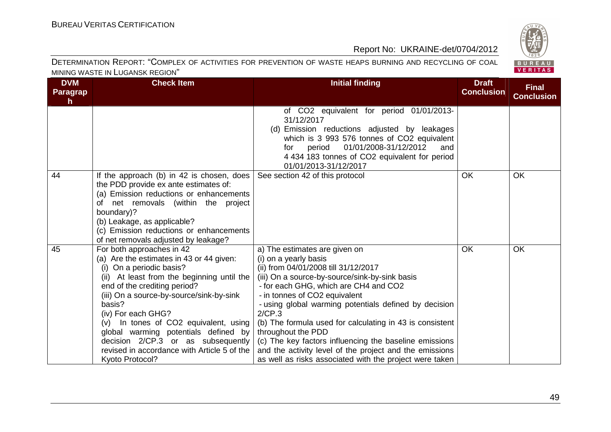

| <b>DVM</b><br><b>Paragrap</b><br>h. | <b>Check Item</b>                                                                                                                                                                                                                                                                                                                                                                                                                                    | <b>Initial finding</b>                                                                                                                                                                                                                                                                                                                                                                                                                                                                                                                                          | <b>Draft</b><br><b>Conclusion</b> | <b>Final</b><br><b>Conclusion</b> |
|-------------------------------------|------------------------------------------------------------------------------------------------------------------------------------------------------------------------------------------------------------------------------------------------------------------------------------------------------------------------------------------------------------------------------------------------------------------------------------------------------|-----------------------------------------------------------------------------------------------------------------------------------------------------------------------------------------------------------------------------------------------------------------------------------------------------------------------------------------------------------------------------------------------------------------------------------------------------------------------------------------------------------------------------------------------------------------|-----------------------------------|-----------------------------------|
|                                     |                                                                                                                                                                                                                                                                                                                                                                                                                                                      | of CO2 equivalent for period 01/01/2013-<br>31/12/2017<br>(d) Emission reductions adjusted by leakages<br>which is 3 993 576 tonnes of CO2 equivalent<br>01/01/2008-31/12/2012<br>and<br>for<br>period<br>4 434 183 tonnes of CO2 equivalent for period<br>01/01/2013-31/12/2017                                                                                                                                                                                                                                                                                |                                   |                                   |
| 44                                  | If the approach (b) in 42 is chosen, does<br>the PDD provide ex ante estimates of:<br>(a) Emission reductions or enhancements<br>of net removals (within the project<br>boundary)?<br>(b) Leakage, as applicable?<br>(c) Emission reductions or enhancements<br>of net removals adjusted by leakage?                                                                                                                                                 | See section 42 of this protocol                                                                                                                                                                                                                                                                                                                                                                                                                                                                                                                                 | <b>OK</b>                         | <b>OK</b>                         |
| 45                                  | For both approaches in 42<br>(a) Are the estimates in 43 or 44 given:<br>(i) On a periodic basis?<br>(ii) At least from the beginning until the<br>end of the crediting period?<br>(iii) On a source-by-source/sink-by-sink<br>basis?<br>(iv) For each GHG?<br>(v) In tones of CO2 equivalent, using<br>global warming potentials defined by<br>decision 2/CP.3 or as subsequently<br>revised in accordance with Article 5 of the<br>Kyoto Protocol? | a) The estimates are given on<br>(i) on a yearly basis<br>(ii) from 04/01/2008 till 31/12/2017<br>(iii) On a source-by-source/sink-by-sink basis<br>- for each GHG, which are CH4 and CO2<br>- in tonnes of CO2 equivalent<br>- using global warming potentials defined by decision<br>2/CP.3<br>(b) The formula used for calculating in 43 is consistent<br>throughout the PDD<br>(c) The key factors influencing the baseline emissions<br>and the activity level of the project and the emissions<br>as well as risks associated with the project were taken | OK                                | <b>OK</b>                         |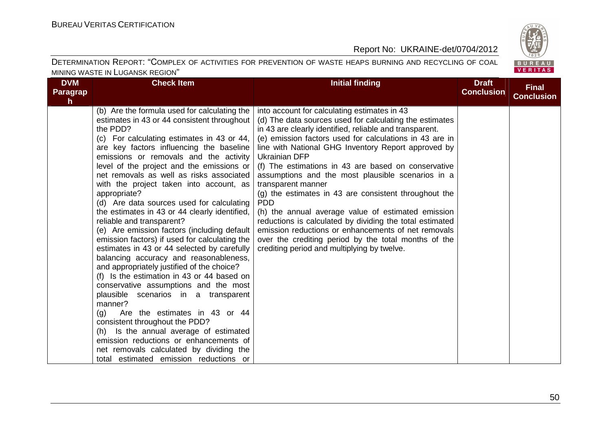

| <b>DVM</b><br><b>Paragrap</b><br>h. | <b>Check Item</b>                                                                                                                                                                                                                                                                                                                                                                                                                                                                                                                                                                                                                                                                                                                                                                                                                                                                                                                                                                                                                                                                                                                                              | <b>Initial finding</b>                                                                                                                                                                                                                                                                                                                                                                                                                                                                                                                                                                                                                                                                                                                                                                                | <b>Draft</b><br><b>Conclusion</b> | <b>Final</b><br><b>Conclusion</b> |
|-------------------------------------|----------------------------------------------------------------------------------------------------------------------------------------------------------------------------------------------------------------------------------------------------------------------------------------------------------------------------------------------------------------------------------------------------------------------------------------------------------------------------------------------------------------------------------------------------------------------------------------------------------------------------------------------------------------------------------------------------------------------------------------------------------------------------------------------------------------------------------------------------------------------------------------------------------------------------------------------------------------------------------------------------------------------------------------------------------------------------------------------------------------------------------------------------------------|-------------------------------------------------------------------------------------------------------------------------------------------------------------------------------------------------------------------------------------------------------------------------------------------------------------------------------------------------------------------------------------------------------------------------------------------------------------------------------------------------------------------------------------------------------------------------------------------------------------------------------------------------------------------------------------------------------------------------------------------------------------------------------------------------------|-----------------------------------|-----------------------------------|
|                                     | (b) Are the formula used for calculating the<br>estimates in 43 or 44 consistent throughout<br>the PDD?<br>(c) For calculating estimates in 43 or 44,<br>are key factors influencing the baseline<br>emissions or removals and the activity<br>level of the project and the emissions or<br>net removals as well as risks associated<br>with the project taken into account, as<br>appropriate?<br>(d) Are data sources used for calculating<br>the estimates in 43 or 44 clearly identified,<br>reliable and transparent?<br>(e) Are emission factors (including default<br>emission factors) if used for calculating the<br>estimates in 43 or 44 selected by carefully<br>balancing accuracy and reasonableness,<br>and appropriately justified of the choice?<br>(f) Is the estimation in 43 or 44 based on<br>conservative assumptions and the most<br>plausible scenarios in a transparent<br>manner?<br>Are the estimates in 43 or 44<br>(q)<br>consistent throughout the PDD?<br>(h) Is the annual average of estimated<br>emission reductions or enhancements of<br>net removals calculated by dividing the<br>total estimated emission reductions or | into account for calculating estimates in 43<br>(d) The data sources used for calculating the estimates<br>in 43 are clearly identified, reliable and transparent.<br>(e) emission factors used for calculations in 43 are in<br>line with National GHG Inventory Report approved by<br><b>Ukrainian DFP</b><br>(f) The estimations in 43 are based on conservative<br>assumptions and the most plausible scenarios in a<br>transparent manner<br>(g) the estimates in 43 are consistent throughout the<br><b>PDD</b><br>(h) the annual average value of estimated emission<br>reductions is calculated by dividing the total estimated<br>emission reductions or enhancements of net removals<br>over the crediting period by the total months of the<br>crediting period and multiplying by twelve. |                                   |                                   |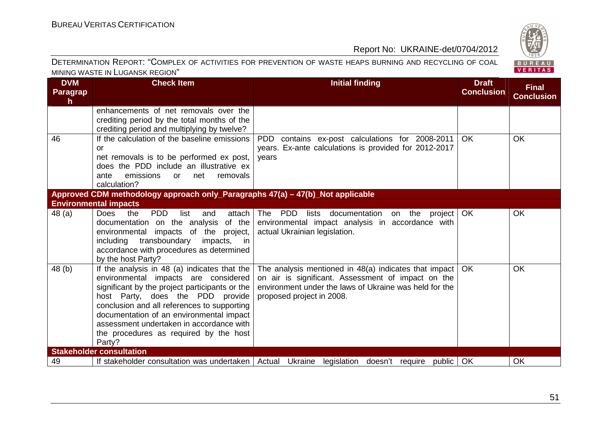

| <b>DVM</b><br><b>Paragrap</b><br>$\mathsf{h}$ | <b>Check Item</b>                                                                                                                                                                                                                                                                                                                                                     | <b>Initial finding</b>                                                                                                                                                                               | <b>Draft</b><br><b>Conclusion</b> | <b>Final</b><br><b>Conclusion</b> |
|-----------------------------------------------|-----------------------------------------------------------------------------------------------------------------------------------------------------------------------------------------------------------------------------------------------------------------------------------------------------------------------------------------------------------------------|------------------------------------------------------------------------------------------------------------------------------------------------------------------------------------------------------|-----------------------------------|-----------------------------------|
|                                               | enhancements of net removals over the<br>crediting period by the total months of the<br>crediting period and multiplying by twelve?                                                                                                                                                                                                                                   |                                                                                                                                                                                                      |                                   |                                   |
| 46                                            | If the calculation of the baseline emissions<br>or<br>net removals is to be performed ex post,<br>does the PDD include an illustrative ex<br>emissions<br>removals<br>net<br>ante<br>or<br>calculation?                                                                                                                                                               | PDD contains ex-post calculations for 2008-2011<br>years. Ex-ante calculations is provided for 2012-2017<br>years                                                                                    | <b>OK</b>                         | <b>OK</b>                         |
|                                               | Approved CDM methodology approach only_Paragraphs 47(a) - 47(b)_Not applicable<br><b>Environmental impacts</b>                                                                                                                                                                                                                                                        |                                                                                                                                                                                                      |                                   |                                   |
| 48(a)                                         | <b>PDD</b><br>list<br>attach<br>Does<br>the<br>and<br>documentation on the analysis<br>of the<br>environmental impacts of the project,<br>transboundary<br>including<br>impacts,<br>in in<br>accordance with procedures as determined<br>by the host Party?                                                                                                           | The PDD<br>documentation<br>on the project<br>lists<br>environmental impact analysis in accordance with<br>actual Ukrainian legislation.                                                             | OK                                | OK                                |
| 48(b)                                         | If the analysis in 48 (a) indicates that the<br>environmental impacts are considered<br>significant by the project participants or the<br>host Party, does the PDD provide<br>conclusion and all references to supporting<br>documentation of an environmental impact<br>assessment undertaken in accordance with<br>the procedures as required by the host<br>Party? | The analysis mentioned in $48(a)$ indicates that impact<br>on air is significant. Assessment of impact on the<br>environment under the laws of Ukraine was held for the<br>proposed project in 2008. | <b>OK</b>                         | <b>OK</b>                         |
|                                               | <b>Stakeholder consultation</b>                                                                                                                                                                                                                                                                                                                                       |                                                                                                                                                                                                      |                                   |                                   |
| 49                                            |                                                                                                                                                                                                                                                                                                                                                                       | If stakeholder consultation was undertaken   Actual Ukraine legislation doesn't require public   OK                                                                                                  |                                   | OK                                |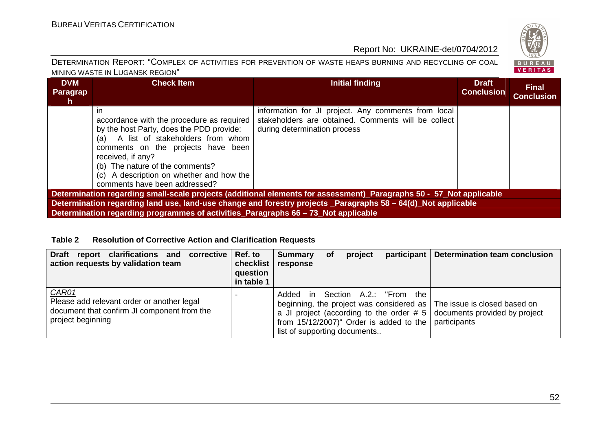

#### DETERMINATION REPORT: "СOMPLEX OF ACTIVITIES FOR PREVENTION OF WASTE HEAPS BURNING AND RECYCLING OF COAL MINING WASTE IN LUGANSK REGION"

| <b>DVM</b><br>Paragrap<br>h.                                                                                        | <b>Check Item</b>                                                                   | Initial finding                                                                                            | <b>Draft</b><br><b>Conclusion</b> | <b>Final</b><br><b>Conclusion</b> |  |  |
|---------------------------------------------------------------------------------------------------------------------|-------------------------------------------------------------------------------------|------------------------------------------------------------------------------------------------------------|-----------------------------------|-----------------------------------|--|--|
|                                                                                                                     | <i>in</i><br>accordance with the procedure as required                              | information for JI project. Any comments from local<br>stakeholders are obtained. Comments will be collect |                                   |                                   |  |  |
|                                                                                                                     | by the host Party, does the PDD provide:<br>A list of stakeholders from whom<br>(a) | during determination process                                                                               |                                   |                                   |  |  |
|                                                                                                                     | comments on the projects have been<br>received, if any?                             |                                                                                                            |                                   |                                   |  |  |
|                                                                                                                     | (b) The nature of the comments?                                                     |                                                                                                            |                                   |                                   |  |  |
|                                                                                                                     | (c) A description on whether and how the<br>comments have been addressed?           |                                                                                                            |                                   |                                   |  |  |
| Determination regarding small-scale projects (additional elements for assessment) Paragraphs 50 - 57 Not applicable |                                                                                     |                                                                                                            |                                   |                                   |  |  |
| Determination regarding land use, land-use change and forestry projects _Paragraphs 58 – 64(d)_Not applicable       |                                                                                     |                                                                                                            |                                   |                                   |  |  |
|                                                                                                                     | Determination regarding programmes of activities_Paragraphs 66 - 73_Not applicable  |                                                                                                            |                                   |                                   |  |  |

#### **Table 2 Resolution of Corrective Action and Clarification Requests**

| Draft report clarifications and corrective Ref. to<br>action requests by validation team                                | checklist<br>question<br>in table 1 | <b>Summary</b><br>response   | <b>of</b> | project |                                                                                                       | participant   Determination team conclusion                                                                                                               |
|-------------------------------------------------------------------------------------------------------------------------|-------------------------------------|------------------------------|-----------|---------|-------------------------------------------------------------------------------------------------------|-----------------------------------------------------------------------------------------------------------------------------------------------------------|
| CAR01<br>Please add relevant order or another legal<br>document that confirm JI component from the<br>project beginning |                                     | list of supporting documents |           |         | Added in Section A.2.: "From the<br>from $15/12/2007$ " Order is added to the $\sqrt{ }$ participants | beginning, the project was considered as $\vert$ The issue is closed based on<br>a JI project (according to the order $# 5$ documents provided by project |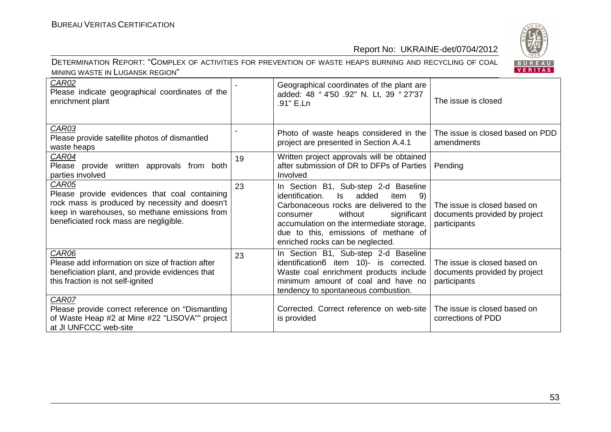

| <b>CAR02</b><br>Please indicate geographical coordinates of the<br>enrichment plant                                                                                                                 |    | Geographical coordinates of the plant are<br>added: 48 ° 4'50 .92" N. Lt, 39 ° 27'37<br>.91" E.Ln                                                                                                                                                                                                | The issue is closed                                                           |
|-----------------------------------------------------------------------------------------------------------------------------------------------------------------------------------------------------|----|--------------------------------------------------------------------------------------------------------------------------------------------------------------------------------------------------------------------------------------------------------------------------------------------------|-------------------------------------------------------------------------------|
| CAR03<br>Please provide satellite photos of dismantled<br>waste heaps                                                                                                                               |    | Photo of waste heaps considered in the<br>project are presented in Section A.4.1                                                                                                                                                                                                                 | The issue is closed based on PDD<br>amendments                                |
| CAR04<br>Please provide written approvals from both<br>parties involved                                                                                                                             | 19 | Written project approvals will be obtained<br>after submission of DR to DFPs of Parties<br>Involved                                                                                                                                                                                              | Pending                                                                       |
| CAR05<br>Please provide evidences that coal containing<br>rock mass is produced by necessity and doesn't<br>keep in warehouses, so methane emissions from<br>beneficiated rock mass are negligible. | 23 | In Section B1, Sub-step 2-d Baseline<br>identification.<br>added<br>Is.<br>item<br>-9)<br>Carbonaceous rocks are delivered to the<br>significant<br>without<br>consumer<br>accumulation on the intermediate storage,<br>due to this, emissions of methane of<br>enriched rocks can be neglected. | The issue is closed based on<br>documents provided by project<br>participants |
| CAR06<br>Please add information on size of fraction after<br>beneficiation plant, and provide evidences that<br>this fraction is not self-ignited                                                   | 23 | In Section B1, Sub-step 2-d Baseline<br>identification6 item 10)- is corrected.<br>Waste coal enrichment products include<br>minimum amount of coal and have no<br>tendency to spontaneous combustion.                                                                                           | The issue is closed based on<br>documents provided by project<br>participants |
| CAR07<br>Please provide correct reference on "Dismantling"<br>of Waste Heap #2 at Mine #22 "LISOVA"" project<br>at JI UNFCCC web-site                                                               |    | Corrected. Correct reference on web-site<br>is provided                                                                                                                                                                                                                                          | The issue is closed based on<br>corrections of PDD                            |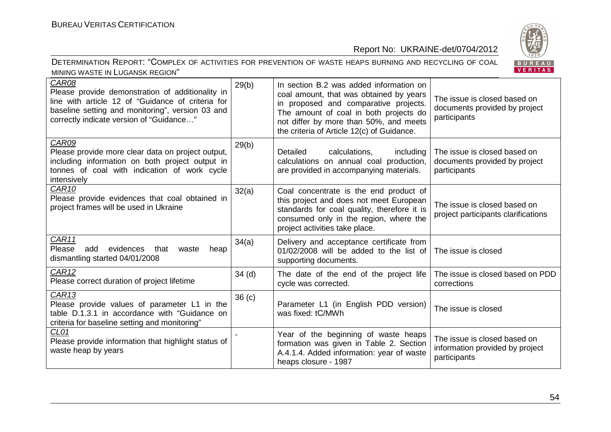

| DETERMINATION REPORT: "COMPLEX OF ACTIVITIES FOR PREVENTION OF WASTE HEAPS BURNING AND RECYCLING OF COAL |  |  |
|----------------------------------------------------------------------------------------------------------|--|--|
| MINING WASTE IN LUGANSK REGION"                                                                          |  |  |

| CAR08<br>Please provide demonstration of additionality in<br>line with article 12 of "Guidance of criteria for<br>baseline setting and monitoring", version 03 and<br>correctly indicate version of "Guidance" | 29(b)             | In section B.2 was added information on<br>coal amount, that was obtained by years<br>in proposed and comparative projects.<br>The amount of coal in both projects do<br>not differ by more than 50%, and meets<br>the criteria of Article 12(c) of Guidance. | The issue is closed based on<br>documents provided by project<br>participants   |
|----------------------------------------------------------------------------------------------------------------------------------------------------------------------------------------------------------------|-------------------|---------------------------------------------------------------------------------------------------------------------------------------------------------------------------------------------------------------------------------------------------------------|---------------------------------------------------------------------------------|
| CAR09<br>Please provide more clear data on project output,<br>including information on both project output in<br>tonnes of coal with indication of work cycle<br>intensively                                   | 29(b)             | calculations,<br>including<br><b>Detailed</b><br>calculations on annual coal production,<br>are provided in accompanying materials.                                                                                                                           | The issue is closed based on<br>documents provided by project<br>participants   |
| CAR <sub>10</sub><br>Please provide evidences that coal obtained in<br>project frames will be used in Ukraine                                                                                                  | 32(a)             | Coal concentrate is the end product of<br>this project and does not meet European<br>standards for coal quality, therefore it is<br>consumed only in the region, where the<br>project activities take place.                                                  | The issue is closed based on<br>project participants clarifications             |
| CAR11<br>Please<br>add<br>evidences<br>that<br>waste<br>heap<br>dismantling started 04/01/2008                                                                                                                 | 34(a)             | Delivery and acceptance certificate from<br>01/02/2008 will be added to the list of<br>supporting documents.                                                                                                                                                  | The issue is closed                                                             |
| CAR <sub>12</sub><br>Please correct duration of project lifetime                                                                                                                                               | $34$ (d)          | The date of the end of the project life<br>cycle was corrected.                                                                                                                                                                                               | The issue is closed based on PDD<br>corrections                                 |
| <b>CAR13</b><br>Please provide values of parameter L1 in the<br>table D.1.3.1 in accordance with "Guidance on<br>criteria for baseline setting and monitoring"                                                 | 36 <sub>(c)</sub> | Parameter L1 (in English PDD version)<br>was fixed: tC/MWh                                                                                                                                                                                                    | The issue is closed                                                             |
| CL01<br>Please provide information that highlight status of<br>waste heap by years                                                                                                                             |                   | Year of the beginning of waste heaps<br>formation was given in Table 2. Section<br>A.4.1.4. Added information: year of waste<br>heaps closure - 1987                                                                                                          | The issue is closed based on<br>information provided by project<br>participants |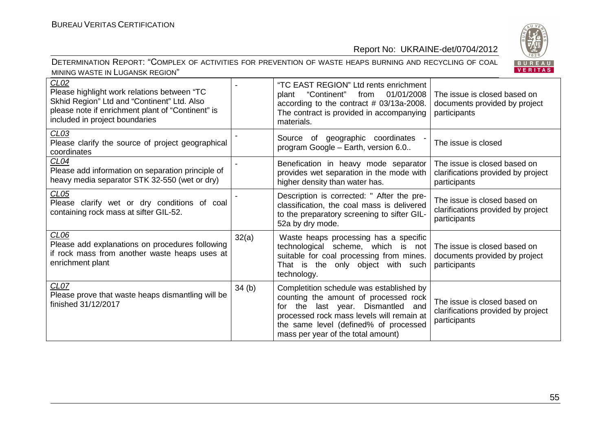

| CLO2<br>Please highlight work relations between "TC<br>Skhid Region" Ltd and "Continent" Ltd. Also<br>please note if enrichment plant of "Continent" is<br>included in project boundaries |       | "TC EAST REGION" Ltd rents enrichment<br>01/01/2008<br>"Continent"<br>from<br>plant<br>according to the contract $#$ 03/13a-2008.<br>The contract is provided in accompanying<br>materials.                                                        | The issue is closed based on<br>documents provided by project<br>participants      |
|-------------------------------------------------------------------------------------------------------------------------------------------------------------------------------------------|-------|----------------------------------------------------------------------------------------------------------------------------------------------------------------------------------------------------------------------------------------------------|------------------------------------------------------------------------------------|
| CL <sub>03</sub><br>Please clarify the source of project geographical<br>coordinates                                                                                                      |       | of geographic coordinates<br>Source<br>program Google - Earth, version 6.0                                                                                                                                                                         | The issue is closed                                                                |
| CL04<br>Please add information on separation principle of<br>heavy media separator STK 32-550 (wet or dry)                                                                                |       | Benefication in heavy mode separator<br>provides wet separation in the mode with<br>higher density than water has.                                                                                                                                 | The issue is closed based on<br>clarifications provided by project<br>participants |
| CL05<br>Please clarify wet or dry conditions of coal<br>containing rock mass at sifter GIL-52.                                                                                            |       | Description is corrected: " After the pre-<br>classification, the coal mass is delivered<br>to the preparatory screening to sifter GIL-<br>52a by dry mode.                                                                                        | The issue is closed based on<br>clarifications provided by project<br>participants |
| CL <sub>06</sub><br>Please add explanations on procedures following<br>if rock mass from another waste heaps uses at<br>enrichment plant                                                  | 32(a) | Waste heaps processing has a specific<br>technological scheme, which is not<br>suitable for coal processing from mines.<br>That is the only object with such<br>technology.                                                                        | The issue is closed based on<br>documents provided by project<br>participants      |
| CL07<br>Please prove that waste heaps dismantling will be<br>finished 31/12/2017                                                                                                          | 34(b) | Completition schedule was established by<br>counting the amount of processed rock<br>for the last year. Dismantled and<br>processed rock mass levels will remain at<br>the same level (defined% of processed<br>mass per year of the total amount) | The issue is closed based on<br>clarifications provided by project<br>participants |